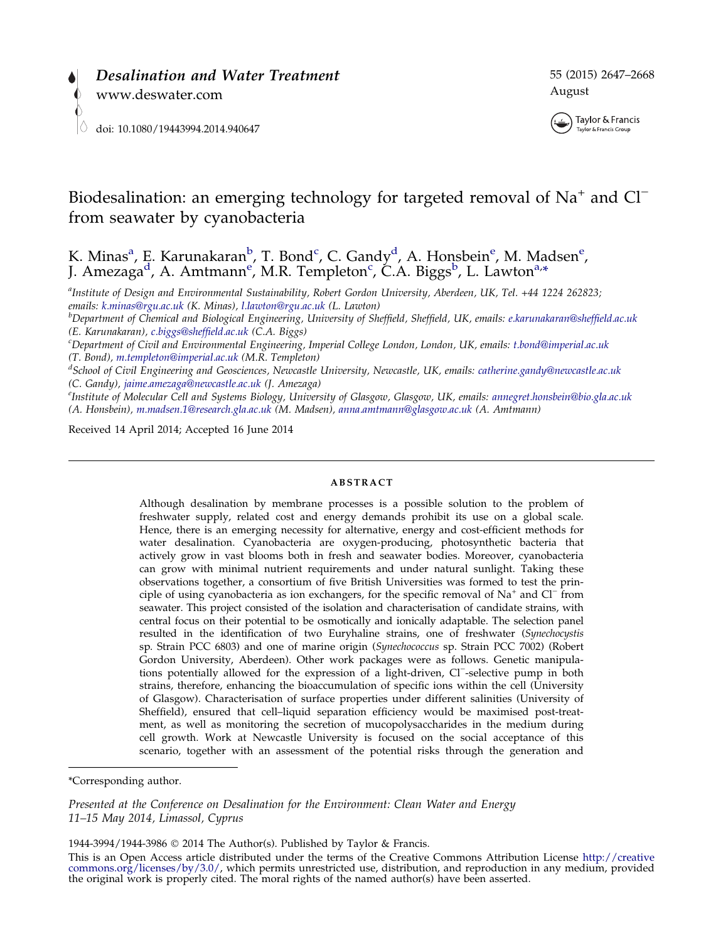



# Biodesalination: an emerging technology for targeted removal of Na<sup>+</sup> and Cl<sup>-</sup> from seawater by cyanobacteria

K. Minas<sup>a</sup>, E. Karunakaran<sup>b</sup>, T. Bond<sup>c</sup>, C. Gandy<sup>d</sup>, A. Honsbein<sup>e</sup>, M. Madsen<sup>e</sup>, J. Amezaga<sup>d</sup>, A. Amtmann<sup>e</sup>, M.R. Templeton<sup>c</sup>, C.A. Biggs<sup>b</sup>, L. Lawton<sup>a,\*</sup>

<sup>a</sup>Institute of Design and Environmental Sustainability, Robert Gordon University, Aberdeen, UK, Tel. +44 1224 262823; emails: [k.minas@rgu.ac.uk](mailto:k.minas@rgu.ac.uk) (K. Minas), [l.lawton@rgu.ac.uk](mailto:l.lawton@rgu.ac.uk) (L. Lawton) <sup>b</sup>

<sup>b</sup>Department of Chemical and Biological Engineering, University of Sheffield, Sheffield, UK, emails: [e.karunakaran@sheffield.ac.uk](mailto:e.karunakaran@sheffield.ac.uk) (E. Karunakaran), [c.biggs@sheffield.ac.uk](mailto:c.biggs@sheffield.ac.uk) (C.A. Biggs) <sup>c</sup>

 $^c$ Department of Civil and Environmental Engineering, Imperial College London, London, UK, emails: [t.bond@imperial.ac.uk](mailto:t.bond@imperial.ac.uk) (T. Bond), [m.templeton@imperial.ac.uk](mailto:m.templeton@imperial.ac.uk) (M.R. Templeton)

d School of Civil Engineering and Geosciences, Newcastle University, Newcastle, UK, emails: [catherine.gandy@newcastle.ac.uk](mailto:catherine.gandy@newcastle.ac.uk) (C. Gandy), [jaime.amezaga@newcastle.ac.uk](mailto:jaime.amezaga@newcastle.ac.uk) (J. Amezaga)

Institute of Molecular Cell and Systems Biology, University of Glasgow, Glasgow, UK, emails: [annegret.honsbein@bio.gla.ac.uk](mailto:annegret.honsbein@bio.gla.ac.uk) (A. Honsbein), [m.madsen.1@research.gla.ac.uk](mailto:m.madsen.1@research.gla.ac.uk) (M. Madsen), [anna.amtmann@glasgow.ac.uk](mailto:anna.amtmann@glasgow.ac.uk) (A. Amtmann)

Received 14 April 2014; Accepted 16 June 2014

## ABSTRACT

Although desalination by membrane processes is a possible solution to the problem of freshwater supply, related cost and energy demands prohibit its use on a global scale. Hence, there is an emerging necessity for alternative, energy and cost-efficient methods for water desalination. Cyanobacteria are oxygen-producing, photosynthetic bacteria that actively grow in vast blooms both in fresh and seawater bodies. Moreover, cyanobacteria can grow with minimal nutrient requirements and under natural sunlight. Taking these observations together, a consortium of five British Universities was formed to test the principle of using cyanobacteria as ion exchangers, for the specific removal of  $Na<sup>+</sup>$  and Cl<sup>−</sup> from seawater. This project consisted of the isolation and characterisation of candidate strains, with central focus on their potential to be osmotically and ionically adaptable. The selection panel resulted in the identification of two Euryhaline strains, one of freshwater (Synechocystis sp. Strain PCC 6803) and one of marine origin (Synechococcus sp. Strain PCC 7002) (Robert Gordon University, Aberdeen). Other work packages were as follows. Genetic manipulations potentially allowed for the expression of a light-driven, Cl<sup>−</sup>-selective pump in both strains, therefore, enhancing the bioaccumulation of specific ions within the cell (University of Glasgow). Characterisation of surface properties under different salinities (University of Sheffield), ensured that cell–liquid separation efficiency would be maximised post-treatment, as well as monitoring the secretion of mucopolysaccharides in the medium during cell growth. Work at Newcastle University is focused on the social acceptance of this scenario, together with an assessment of the potential risks through the generation and

Presented at the Conference on Desalination for the Environment: Clean Water and Energy 11–15 May 2014, Limassol, Cyprus

1944-3994/1944-3986 2014 The Author(s). Published by Taylor & Francis.

This is an Open Access article distributed under the terms of the Creative Commons Attribution License [http://creative](http://creativecommons.org/licenses/by/3.0/) [commons.org/licenses/by/3.0/](http://creativecommons.org/licenses/by/3.0/), which permits unrestricted use, distribution, and reproduction in any med

<sup>\*</sup>Corresponding author.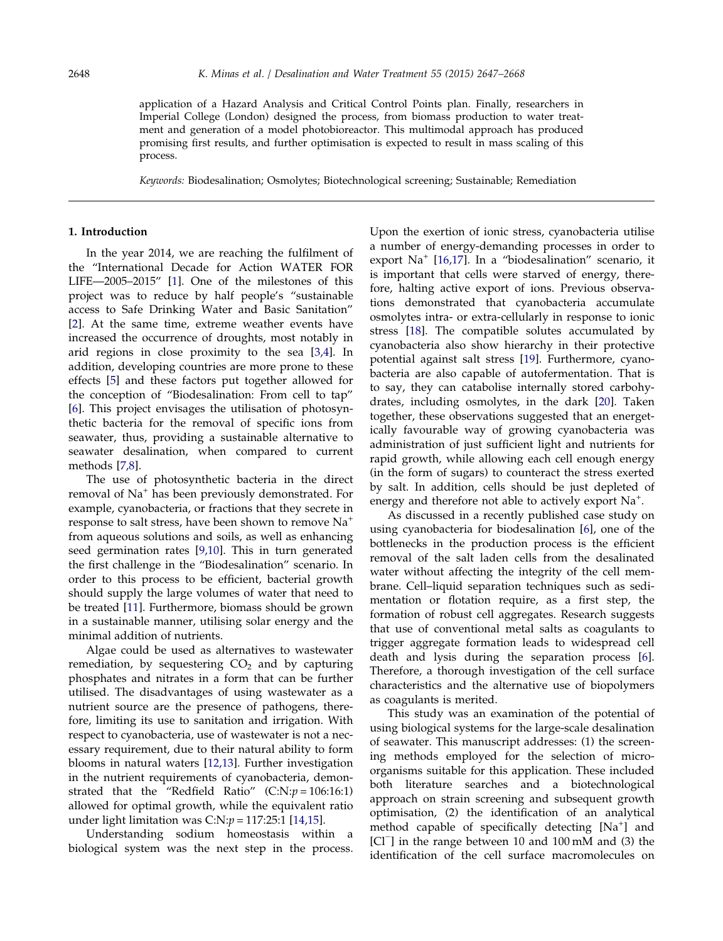application of a Hazard Analysis and Critical Control Points plan. Finally, researchers in Imperial College (London) designed the process, from biomass production to water treatment and generation of a model photobioreactor. This multimodal approach has produced promising first results, and further optimisation is expected to result in mass scaling of this process.

Keywords: Biodesalination; Osmolytes; Biotechnological screening; Sustainable; Remediation

## 1. Introduction

In the year 2014, we are reaching the fulfilment of the "International Decade for Action WATER FOR LIFE—2005–2015" [[1\]](#page-10-0). One of the milestones of this project was to reduce by half people's "sustainable access to Safe Drinking Water and Basic Sanitation" [[2\]](#page-10-0). At the same time, extreme weather events have increased the occurrence of droughts, most notably in arid regions in close proximity to the sea [\[3,4](#page-10-0)]. In addition, developing countries are more prone to these effects [[5\]](#page-10-0) and these factors put together allowed for the conception of "Biodesalination: From cell to tap" [[6\]](#page-10-0). This project envisages the utilisation of photosynthetic bacteria for the removal of specific ions from seawater, thus, providing a sustainable alternative to seawater desalination, when compared to current methods [\[7,8\]](#page-10-0).

The use of photosynthetic bacteria in the direct removal of Na<sup>+</sup> has been previously demonstrated. For example, cyanobacteria, or fractions that they secrete in response to salt stress, have been shown to remove Na<sup>+</sup> from aqueous solutions and soils, as well as enhancing seed germination rates [[9,10\]](#page-10-0). This in turn generated the first challenge in the "Biodesalination" scenario. In order to this process to be efficient, bacterial growth should supply the large volumes of water that need to be treated [\[11\]](#page-10-0). Furthermore, biomass should be grown in a sustainable manner, utilising solar energy and the minimal addition of nutrients.

Algae could be used as alternatives to wastewater remediation, by sequestering  $CO<sub>2</sub>$  and by capturing phosphates and nitrates in a form that can be further utilised. The disadvantages of using wastewater as a nutrient source are the presence of pathogens, therefore, limiting its use to sanitation and irrigation. With respect to cyanobacteria, use of wastewater is not a necessary requirement, due to their natural ability to form blooms in natural waters [\[12,13\]](#page-10-0). Further investigation in the nutrient requirements of cyanobacteria, demonstrated that the "Redfield Ratio"  $(C:N:p=106:16:1)$ allowed for optimal growth, while the equivalent ratio under light limitation was  $C:N: p = 117:25:1$  [\[14,15](#page-10-0)].

Understanding sodium homeostasis within a biological system was the next step in the process.

Upon the exertion of ionic stress, cyanobacteria utilise a number of energy-demanding processes in order to export  $Na<sup>+</sup>$  [[16,17\]](#page-10-0). In a "biodesalination" scenario, it is important that cells were starved of energy, therefore, halting active export of ions. Previous observations demonstrated that cyanobacteria accumulate osmolytes intra- or extra-cellularly in response to ionic stress [\[18](#page-10-0)]. The compatible solutes accumulated by cyanobacteria also show hierarchy in their protective potential against salt stress [[19](#page-10-0)]. Furthermore, cyanobacteria are also capable of autofermentation. That is to say, they can catabolise internally stored carbohydrates, including osmolytes, in the dark [[20](#page-10-0)]. Taken together, these observations suggested that an energetically favourable way of growing cyanobacteria was administration of just sufficient light and nutrients for rapid growth, while allowing each cell enough energy (in the form of sugars) to counteract the stress exerted by salt. In addition, cells should be just depleted of energy and therefore not able to actively export Na<sup>+</sup>.

As discussed in a recently published case study on using cyanobacteria for biodesalination [\[6\]](#page-10-0), one of the bottlenecks in the production process is the efficient removal of the salt laden cells from the desalinated water without affecting the integrity of the cell membrane. Cell–liquid separation techniques such as sedimentation or flotation require, as a first step, the formation of robust cell aggregates. Research suggests that use of conventional metal salts as coagulants to trigger aggregate formation leads to widespread cell death and lysis during the separation process [\[6](#page-10-0)]. Therefore, a thorough investigation of the cell surface characteristics and the alternative use of biopolymers as coagulants is merited.

This study was an examination of the potential of using biological systems for the large-scale desalination of seawater. This manuscript addresses: (1) the screening methods employed for the selection of microorganisms suitable for this application. These included both literature searches and a biotechnological approach on strain screening and subsequent growth optimisation, (2) the identification of an analytical method capable of specifically detecting [Na<sup>+</sup>] and [Cl<sup>−</sup> ] in the range between 10 and 100 mM and (3) the identification of the cell surface macromolecules on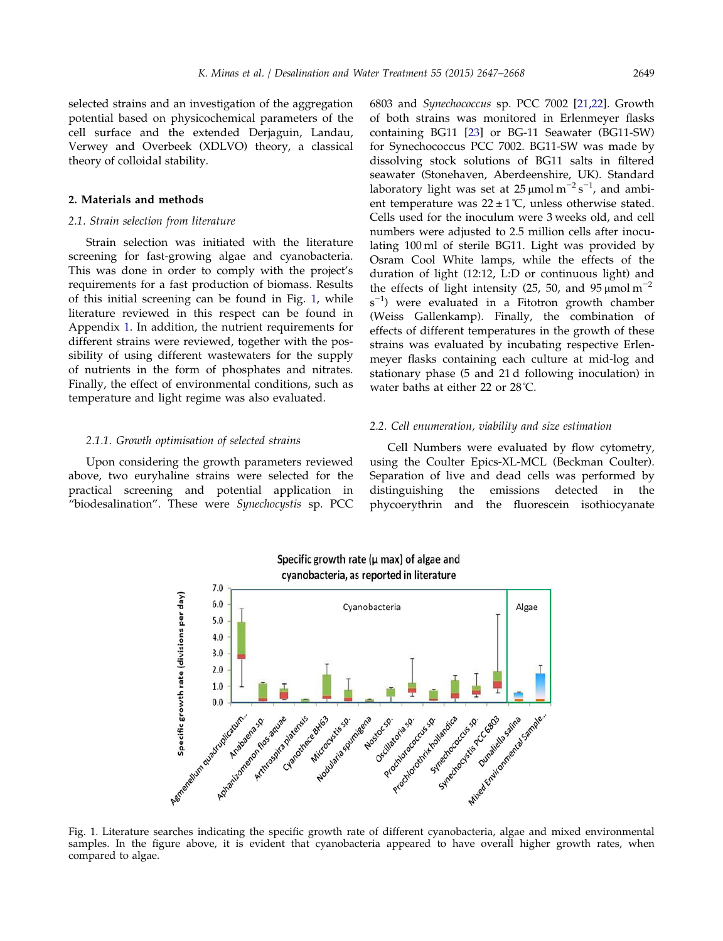<span id="page-2-0"></span>selected strains and an investigation of the aggregation potential based on physicochemical parameters of the cell surface and the extended Derjaguin, Landau, Verwey and Overbeek (XDLVO) theory, a classical theory of colloidal stability.

## 2. Materials and methods

## 2.1. Strain selection from literature

Strain selection was initiated with the literature screening for fast-growing algae and cyanobacteria. This was done in order to comply with the project's requirements for a fast production of biomass. Results of this initial screening can be found in Fig. 1, while literature reviewed in this respect can be found in Appendix [1](#page-13-0). In addition, the nutrient requirements for different strains were reviewed, together with the possibility of using different wastewaters for the supply of nutrients in the form of phosphates and nitrates. Finally, the effect of environmental conditions, such as temperature and light regime was also evaluated.

## 2.1.1. Growth optimisation of selected strains

Upon considering the growth parameters reviewed above, two euryhaline strains were selected for the practical screening and potential application in "biodesalination". These were Synechocystis sp. PCC 6803 and Synechococcus sp. PCC 7002 [[21,22](#page-11-0)]. Growth of both strains was monitored in Erlenmeyer flasks containing BG11 [[23](#page-11-0)] or BG-11 Seawater (BG11-SW) for Synechococcus PCC 7002. BG11-SW was made by dissolving stock solutions of BG11 salts in filtered seawater (Stonehaven, Aberdeenshire, UK). Standard laboratory light was set at 25 µmol  $m^{-2} s^{-1}$ , and ambient temperature was  $22 \pm 1$ °C, unless otherwise stated. Cells used for the inoculum were 3 weeks old, and cell numbers were adjusted to 2.5 million cells after inoculating 100 ml of sterile BG11. Light was provided by Osram Cool White lamps, while the effects of the duration of light (12:12, L:D or continuous light) and the effects of light intensity (25, 50, and 95  $\mu$ mol m<sup>-2</sup> s<sup>-1</sup>) were evaluated in a Fitotron growth chamber (Weiss Gallenkamp). Finally, the combination of effects of different temperatures in the growth of these strains was evaluated by incubating respective Erlenmeyer flasks containing each culture at mid-log and stationary phase (5 and 21 d following inoculation) in water baths at either 22 or 28˚C.

## 2.2. Cell enumeration, viability and size estimation

Cell Numbers were evaluated by flow cytometry, using the Coulter Epics-XL-MCL (Beckman Coulter). Separation of live and dead cells was performed by distinguishing the emissions detected in the phycoerythrin and the fluorescein isothiocyanate



Fig. 1. Literature searches indicating the specific growth rate of different cyanobacteria, algae and mixed environmental samples. In the figure above, it is evident that cyanobacteria appeared to have overall higher growth rates, when compared to algae.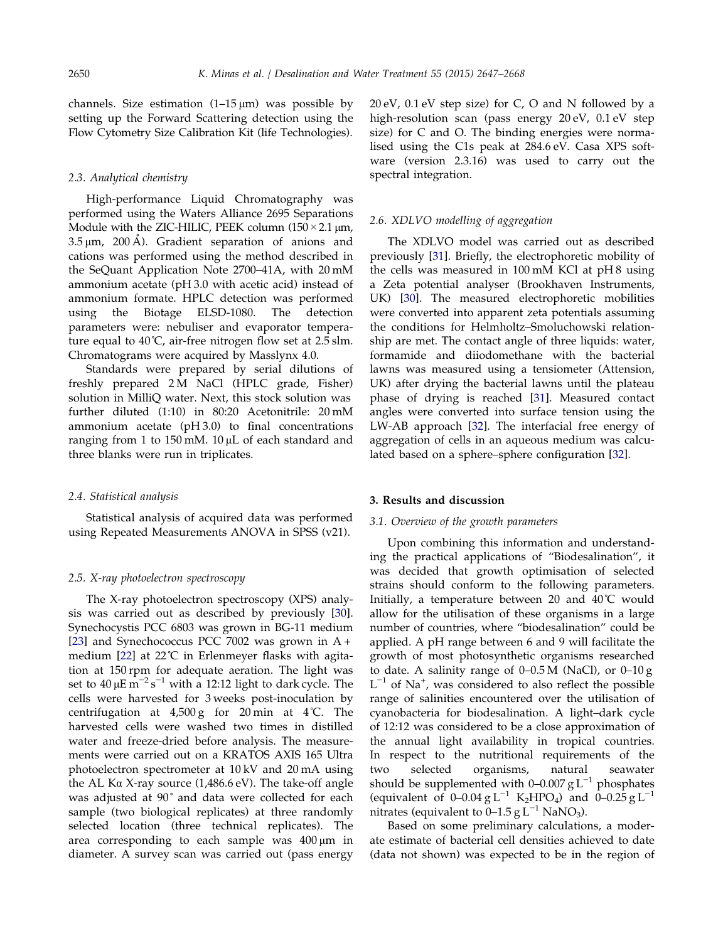channels. Size estimation  $(1-15 \mu m)$  was possible by setting up the Forward Scattering detection using the Flow Cytometry Size Calibration Kit (life Technologies).

## 2.3. Analytical chemistry

High-performance Liquid Chromatography was performed using the Waters Alliance 2695 Separations Module with the ZIC-HILIC, PEEK column  $(150 \times 2.1 \,\mu m)$ ,  $3.5 \mu m$ ,  $200 \text{ Å}$ ). Gradient separation of anions and cations was performed using the method described in the SeQuant Application Note 2700–41A, with 20 mM ammonium acetate (pH 3.0 with acetic acid) instead of ammonium formate. HPLC detection was performed using the Biotage ELSD-1080. The detection parameters were: nebuliser and evaporator temperature equal to 40˚C, air-free nitrogen flow set at 2.5 slm. Chromatograms were acquired by Masslynx 4.0.

Standards were prepared by serial dilutions of freshly prepared 2 M NaCl (HPLC grade, Fisher) solution in MilliQ water. Next, this stock solution was further diluted (1:10) in 80:20 Acetonitrile: 20 mM ammonium acetate (pH 3.0) to final concentrations ranging from 1 to 150 mM. 10 μL of each standard and three blanks were run in triplicates.

#### 2.4. Statistical analysis

Statistical analysis of acquired data was performed using Repeated Measurements ANOVA in SPSS (v21).

#### 2.5. X-ray photoelectron spectroscopy

The X-ray photoelectron spectroscopy (XPS) analysis was carried out as described by previously [[30](#page-11-0)]. Synechocystis PCC 6803 was grown in BG-11 medium [[23\]](#page-11-0) and Synechococcus PCC 7002 was grown in  $A +$ medium  $[22]$  $[22]$  $[22]$  at  $22^{\circ}$ C in Erlenmeyer flasks with agitation at 150 rpm for adequate aeration. The light was set to  $40 \mu E \, \text{m}^{-2} \, \text{s}^{-1}$  with a 12:12 light to dark cycle. The cells were harvested for 3 weeks post-inoculation by centrifugation at  $4,500 \text{ g}$  for  $20 \text{ min}$  at  $4 \text{ }^{\circ}\text{C}$ . The harvested cells were washed two times in distilled water and freeze-dried before analysis. The measurements were carried out on a KRATOS AXIS 165 Ultra photoelectron spectrometer at 10 kV and 20 mA using the AL Kα X-ray source  $(1,486.6 \text{ eV})$ . The take-off angle was adjusted at 90˚ and data were collected for each sample (two biological replicates) at three randomly selected location (three technical replicates). The area corresponding to each sample was 400 μm in diameter. A survey scan was carried out (pass energy

 $20 \text{ eV}$ ,  $0.1 \text{ eV}$  step size) for C, O and N followed by a high-resolution scan (pass energy 20 eV, 0.1 eV step size) for C and O. The binding energies were normalised using the C1s peak at 284.6 eV. Casa XPS software (version 2.3.16) was used to carry out the spectral integration.

## 2.6. XDLVO modelling of aggregation

The XDLVO model was carried out as described previously [[31](#page-11-0)]. Briefly, the electrophoretic mobility of the cells was measured in 100 mM KCl at pH 8 using a Zeta potential analyser (Brookhaven Instruments, UK) [[30](#page-11-0)]. The measured electrophoretic mobilities were converted into apparent zeta potentials assuming the conditions for Helmholtz–Smoluchowski relationship are met. The contact angle of three liquids: water, formamide and diiodomethane with the bacterial lawns was measured using a tensiometer (Attension, UK) after drying the bacterial lawns until the plateau phase of drying is reached [\[31\]](#page-11-0). Measured contact angles were converted into surface tension using the LW-AB approach [[32\]](#page-11-0). The interfacial free energy of aggregation of cells in an aqueous medium was calculated based on a sphere–sphere configuration [\[32](#page-11-0)].

#### 3. Results and discussion

## 3.1. Overview of the growth parameters

Upon combining this information and understanding the practical applications of "Biodesalination", it was decided that growth optimisation of selected strains should conform to the following parameters. Initially, a temperature between 20 and 40˚C would allow for the utilisation of these organisms in a large number of countries, where "biodesalination" could be applied. A pH range between 6 and 9 will facilitate the growth of most photosynthetic organisms researched to date. A salinity range of  $0-0.5$  M (NaCl), or  $0-10$  g L<sup>-1</sup> of Na<sup>+</sup>, was considered to also reflect the possible range of salinities encountered over the utilisation of cyanobacteria for biodesalination. A light–dark cycle of 12:12 was considered to be a close approximation of the annual light availability in tropical countries. In respect to the nutritional requirements of the two selected organisms, natural seawater should be supplemented with 0–0.007  $g L^{-1}$  phosphates (equivalent of 0–0.04 g L<sup>-1</sup> K<sub>2</sub>HPO<sub>4</sub>) and 0–0.25 g L<sup>-1</sup> nitrates (equivalent to  $0-1.5$  g L<sup>-1</sup> NaNO<sub>3</sub>).

Based on some preliminary calculations, a moderate estimate of bacterial cell densities achieved to date (data not shown) was expected to be in the region of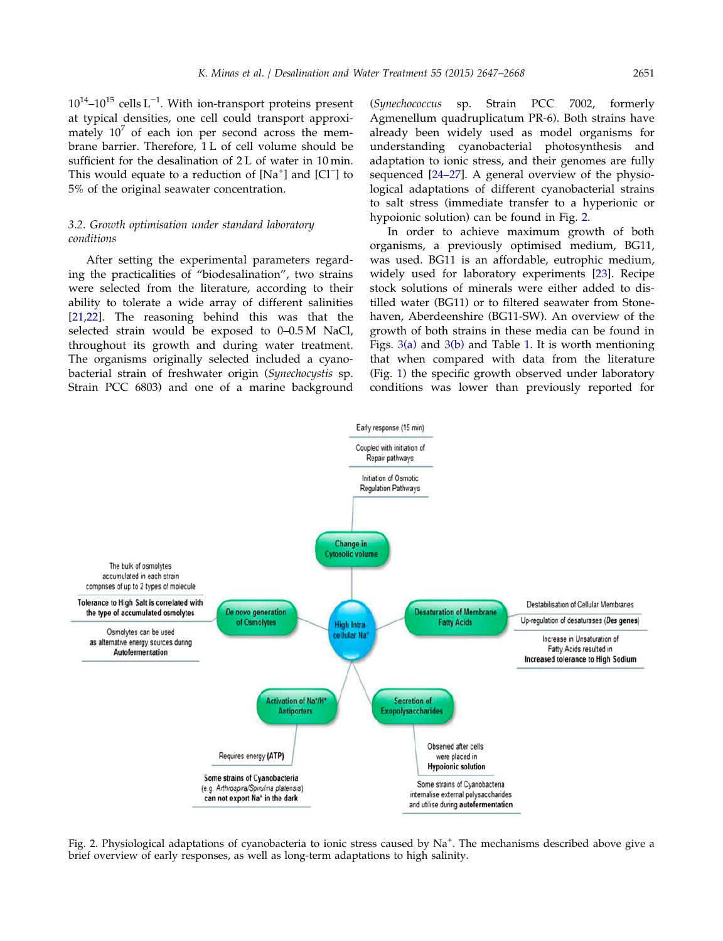$10^{14}$ – $10^{15}$  cells L<sup>-1</sup>. With ion-transport proteins present at typical densities, one cell could transport approximately  $10^7$  of each ion per second across the membrane barrier. Therefore, 1 L of cell volume should be sufficient for the desalination of 2 L of water in 10 min. This would equate to a reduction of [Na<sup>+</sup>] and [Cl<sup>−</sup>] to 5% of the original seawater concentration.

## 3.2. Growth optimisation under standard laboratory conditions

After setting the experimental parameters regarding the practicalities of "biodesalination", two strains were selected from the literature, according to their ability to tolerate a wide array of different salinities [[21,22\]](#page-11-0). The reasoning behind this was that the selected strain would be exposed to 0–0.5 M NaCl, throughout its growth and during water treatment. The organisms originally selected included a cyanobacterial strain of freshwater origin (Synechocystis sp. Strain PCC 6803) and one of a marine background

(Synechococcus sp. Strain PCC 7002, formerly Agmenellum quadruplicatum PR-6). Both strains have already been widely used as model organisms for understanding cyanobacterial photosynthesis and adaptation to ionic stress, and their genomes are fully sequenced [\[24–27\]](#page-11-0). A general overview of the physiological adaptations of different cyanobacterial strains to salt stress (immediate transfer to a hyperionic or hypoionic solution) can be found in Fig. 2.

In order to achieve maximum growth of both organisms, a previously optimised medium, BG11, was used. BG11 is an affordable, eutrophic medium, widely used for laboratory experiments [\[23](#page-11-0)]. Recipe stock solutions of minerals were either added to distilled water (BG11) or to filtered seawater from Stonehaven, Aberdeenshire (BG11-SW). An overview of the growth of both strains in these media can be found in Figs. [3\(a\)](#page-5-0) and [3\(b\)](#page-5-0) and Table [1.](#page-7-0) It is worth mentioning that when compared with data from the literature (Fig. [1\)](#page-2-0) the specific growth observed under laboratory conditions was lower than previously reported for



Fig. 2. Physiological adaptations of cyanobacteria to ionic stress caused by Na<sup>+</sup>. The mechanisms described above give a brief overview of early responses, as well as long-term adaptations to high salinity.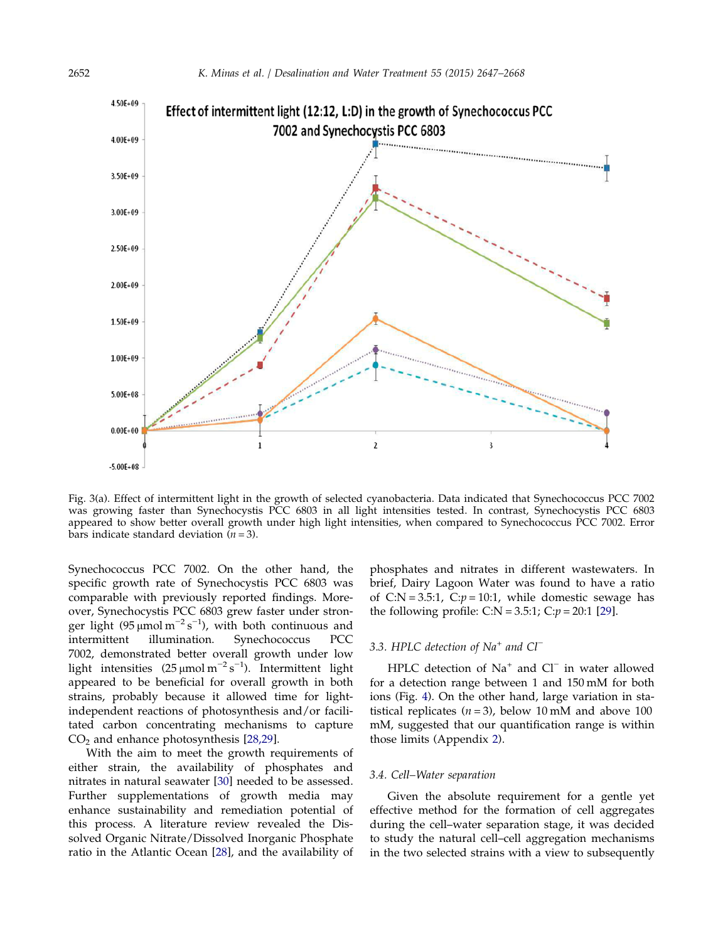<span id="page-5-0"></span>

Fig. 3(a). Effect of intermittent light in the growth of selected cyanobacteria. Data indicated that Synechococcus PCC 7002 was growing faster than Synechocystis PCC 6803 in all light intensities tested. In contrast, Synechocystis PCC 6803 appeared to show better overall growth under high light intensities, when compared to Synechococcus PCC 7002. Error bars indicate standard deviation  $(n = 3)$ .

Synechococcus PCC 7002. On the other hand, the specific growth rate of Synechocystis PCC 6803 was comparable with previously reported findings. Moreover, Synechocystis PCC 6803 grew faster under stronger light (95  $\mu$ mol m<sup>-2</sup>s<sup>-1</sup>), with both continuous and intermittent illumination. Synechococcus PCC 7002, demonstrated better overall growth under low light intensities  $(25 \mu \text{mol m}^{-2} \text{s}^{-1})$ . Intermittent light appeared to be beneficial for overall growth in both strains, probably because it allowed time for lightindependent reactions of photosynthesis and/or facilitated carbon concentrating mechanisms to capture  $CO<sub>2</sub>$  and enhance photosynthesis [\[28,29](#page-11-0)].

With the aim to meet the growth requirements of either strain, the availability of phosphates and nitrates in natural seawater [\[30](#page-11-0)] needed to be assessed. Further supplementations of growth media may enhance sustainability and remediation potential of this process. A literature review revealed the Dissolved Organic Nitrate/Dissolved Inorganic Phosphate ratio in the Atlantic Ocean [[28\]](#page-11-0), and the availability of

phosphates and nitrates in different wastewaters. In brief, Dairy Lagoon Water was found to have a ratio of C:N = 3.5:1, C: $p = 10:1$ , while domestic sewage has the following profile: C:N = 3.5:1; C: $p = 20:1$  [[29\]](#page-11-0).

## 3.3. HPLC detection of Na<sup>+</sup> and Cl<sup>−</sup>

HPLC detection of Na<sup>+</sup> and Cl<sup>−</sup> in water allowed for a detection range between 1 and 150 mM for both ions (Fig. [4\)](#page-8-0). On the other hand, large variation in statistical replicates  $(n=3)$ , below 10 mM and above 100 mM, suggested that our quantification range is within those limits (Appendix 2).

## 3.4. Cell–Water separation

Given the absolute requirement for a gentle yet effective method for the formation of cell aggregates during the cell–water separation stage, it was decided to study the natural cell–cell aggregation mechanisms in the two selected strains with a view to subsequently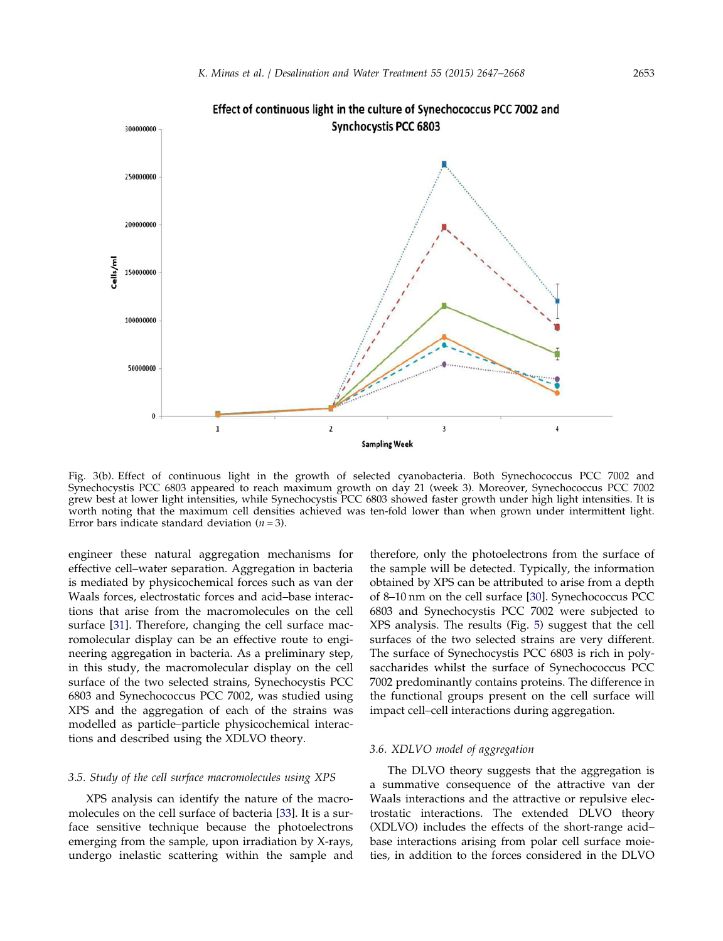

Effect of continuous light in the culture of Synechococcus PCC 7002 and

Fig. 3(b). Effect of continuous light in the growth of selected cyanobacteria. Both Synechococcus PCC 7002 and Synechocystis PCC 6803 appeared to reach maximum growth on day 21 (week 3). Moreover, Synechococcus PCC 7002 grew best at lower light intensities, while Synechocystis PCC 6803 showed faster growth under high light intensities. It is worth noting that the maximum cell densities achieved was ten-fold lower than when grown under intermittent light. Error bars indicate standard deviation  $(n = 3)$ .

engineer these natural aggregation mechanisms for effective cell–water separation. Aggregation in bacteria is mediated by physicochemical forces such as van der Waals forces, electrostatic forces and acid–base interactions that arise from the macromolecules on the cell surface [[31](#page-11-0)]. Therefore, changing the cell surface macromolecular display can be an effective route to engineering aggregation in bacteria. As a preliminary step, in this study, the macromolecular display on the cell surface of the two selected strains, Synechocystis PCC 6803 and Synechococcus PCC 7002, was studied using XPS and the aggregation of each of the strains was modelled as particle–particle physicochemical interactions and described using the XDLVO theory.

#### 3.5. Study of the cell surface macromolecules using XPS

XPS analysis can identify the nature of the macromolecules on the cell surface of bacteria [[33\]](#page-11-0). It is a surface sensitive technique because the photoelectrons emerging from the sample, upon irradiation by X-rays, undergo inelastic scattering within the sample and

therefore, only the photoelectrons from the surface of the sample will be detected. Typically, the information obtained by XPS can be attributed to arise from a depth of 8–10 nm on the cell surface [[30\]](#page-11-0). Synechococcus PCC 6803 and Synechocystis PCC 7002 were subjected to XPS analysis. The results (Fig. [5](#page-9-0)) suggest that the cell surfaces of the two selected strains are very different. The surface of Synechocystis PCC 6803 is rich in polysaccharides whilst the surface of Synechococcus PCC 7002 predominantly contains proteins. The difference in the functional groups present on the cell surface will impact cell–cell interactions during aggregation.

## 3.6. XDLVO model of aggregation

The DLVO theory suggests that the aggregation is a summative consequence of the attractive van der Waals interactions and the attractive or repulsive electrostatic interactions. The extended DLVO theory (XDLVO) includes the effects of the short-range acid– base interactions arising from polar cell surface moieties, in addition to the forces considered in the DLVO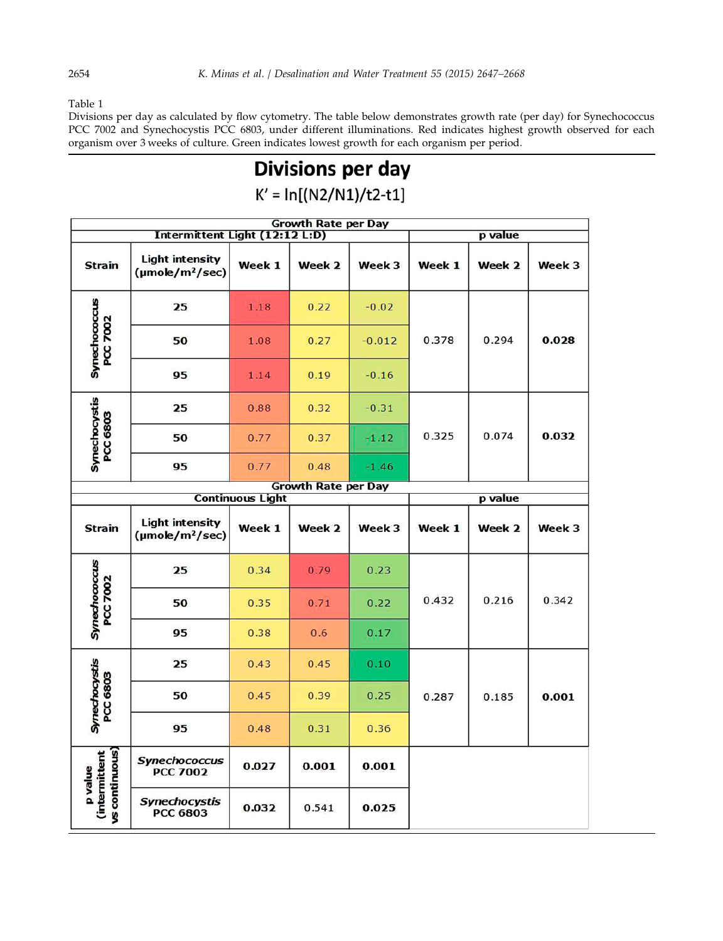<span id="page-7-0"></span>Table 1

Divisions per day as calculated by flow cytometry. The table below demonstrates growth rate (per day) for Synechococcus PCC 7002 and Synechocystis PCC 6803, under different illuminations. Red indicates highest growth observed for each organism over 3 weeks of culture. Green indicates lowest growth for each organism per period.

|                                            |                                                                     |                         | $K' = ln[(N2/N1)/t2-t1]$   |          |         |         |        |
|--------------------------------------------|---------------------------------------------------------------------|-------------------------|----------------------------|----------|---------|---------|--------|
|                                            | Intermittent Light (12:12 L:D)                                      |                         | <b>Growth Rate per Day</b> |          |         | p value |        |
| <b>Strain</b>                              | <b>Light intensity</b><br>$(\mu \text{mole}/\text{m}^2/\text{sec})$ | Week 1                  | Week 2                     | Week 3   | Week 1  | Week 2  | Week 3 |
|                                            | 25                                                                  | 1.18                    | 0.22                       | $-0.02$  |         |         |        |
| <b>Synechococcus</b><br>PCC 7002           | 50                                                                  | 1.08                    | 0.27                       | $-0.012$ | 0.378   | 0.294   | 0.028  |
|                                            | 95                                                                  | 1.14                    | 0.19                       | $-0.16$  |         |         |        |
| Synechocystis<br>PCC 6803                  | 25                                                                  | 0.88                    | 0.32                       | $-0.31$  |         |         |        |
|                                            | 50                                                                  | 0.77                    | 0.37                       | $-1.12$  | 0.325   | 0.074   | 0.032  |
|                                            | 95                                                                  | 0.77                    | 0.48                       | $-1.46$  |         |         |        |
|                                            |                                                                     | <b>Continuous Light</b> | <b>Growth Rate per Day</b> |          | p value |         |        |
| <b>Strain</b>                              | <b>Light intensity</b><br>$(\mu \text{mole}/\text{m}^2/\text{sec})$ | Week 1                  | Week 2                     | Week 3   | Week 1  | Week 2  | Week 3 |
|                                            | 25                                                                  | 0.34                    | 0.79                       | 0.23     |         |         |        |
| Synechococcus<br>PCC 7002                  | 50                                                                  | 0.35                    | 0.71                       | 0.22     | 0.432   | 0.216   | 0.342  |
|                                            | 95                                                                  | 0.38                    | 0.6                        | 0.17     |         |         |        |
|                                            | 25                                                                  | 0.43                    | 0.45                       | 0.10     |         |         |        |
| echocystis<br>Synecrowy.<br>PCC 6803       | 50                                                                  | 0.45                    | 0.39                       | 0.25     | 0.287   | 0.185   | 0.001  |
|                                            | 95                                                                  | 0.48                    | 0.31                       | 0.36     |         |         |        |
| (intermittent<br>vs continuous)<br>p value | <b>Synechococcus</b><br><b>PCC 7002</b>                             | 0.027                   | 0.001                      | 0.001    |         |         |        |
|                                            | <b>Synechocystis</b><br>PCC 6803                                    | 0.032                   | 0.541                      | 0.025    |         |         |        |

# **Divisions per day**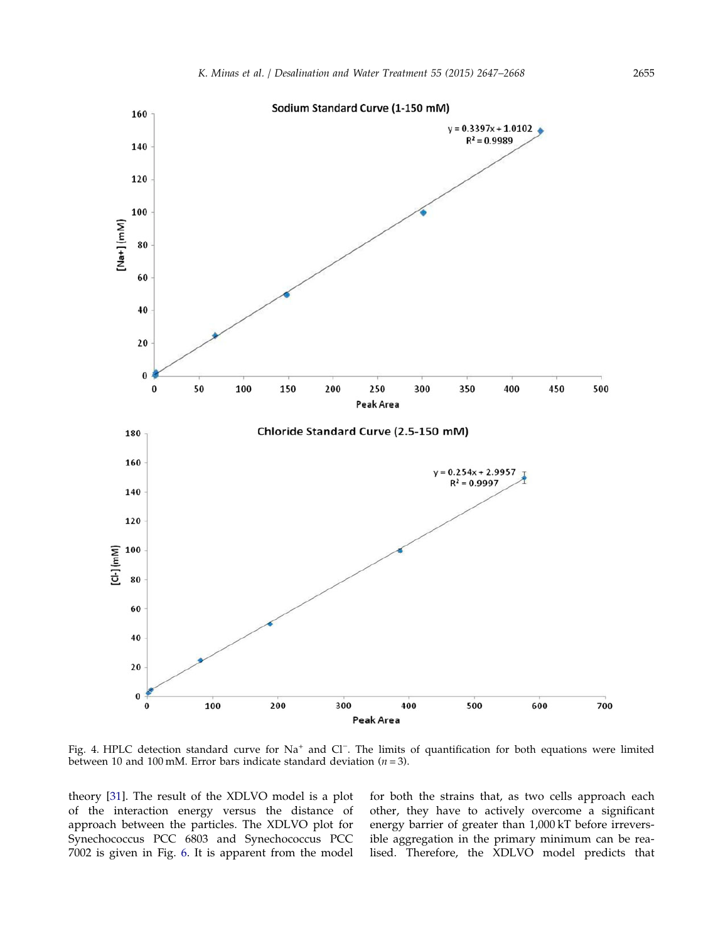<span id="page-8-0"></span>

Fig. 4. HPLC detection standard curve for Na<sup>+</sup> and Cl<sup>−</sup>. The limits of quantification for both equations were limited between 10 and 100 mM. Error bars indicate standard deviation ( $n = 3$ ).

theory [[31\]](#page-11-0). The result of the XDLVO model is a plot of the interaction energy versus the distance of approach between the particles. The XDLVO plot for Synechococcus PCC 6803 and Synechococcus PCC 7002 is given in Fig. [6.](#page-9-0) It is apparent from the model for both the strains that, as two cells approach each other, they have to actively overcome a significant energy barrier of greater than 1,000 kT before irreversible aggregation in the primary minimum can be realised. Therefore, the XDLVO model predicts that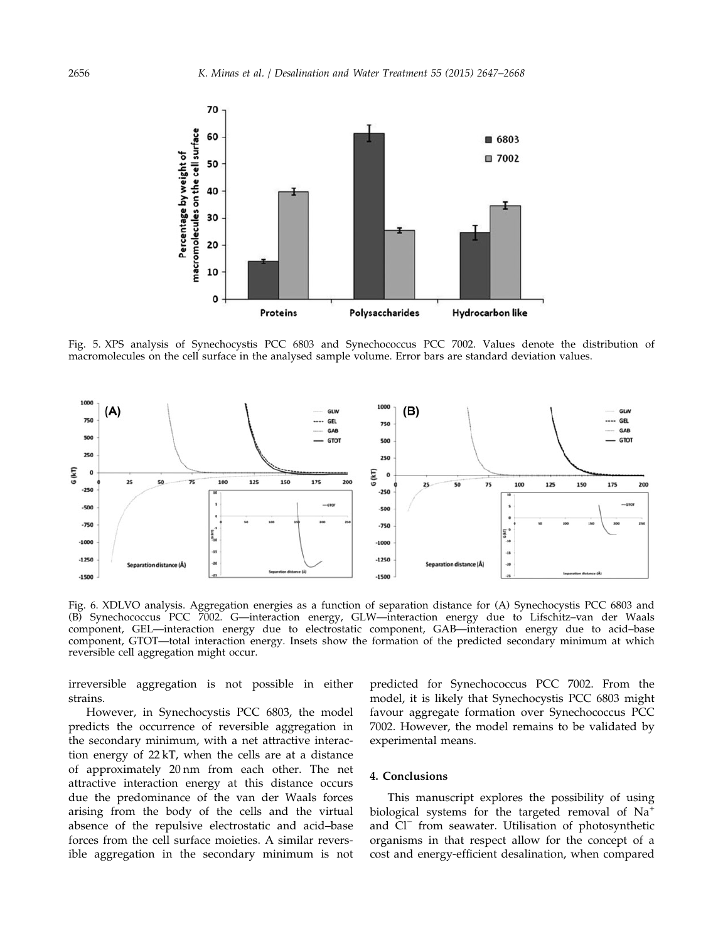<span id="page-9-0"></span>

Fig. 5. XPS analysis of Synechocystis PCC 6803 and Synechococcus PCC 7002. Values denote the distribution of macromolecules on the cell surface in the analysed sample volume. Error bars are standard deviation values.



Fig. 6. XDLVO analysis. Aggregation energies as a function of separation distance for (A) Synechocystis PCC 6803 and (B) Synechococcus PCC 7002. G—interaction energy, GLW—interaction energy due to Lifschitz–van der Waals component, GEL—interaction energy due to electrostatic component, GAB—interaction energy due to acid–base component, GTOT—total interaction energy. Insets show the formation of the predicted secondary minimum at which reversible cell aggregation might occur.

irreversible aggregation is not possible in either strains.

However, in Synechocystis PCC 6803, the model predicts the occurrence of reversible aggregation in the secondary minimum, with a net attractive interaction energy of 22 kT, when the cells are at a distance of approximately 20 nm from each other. The net attractive interaction energy at this distance occurs due the predominance of the van der Waals forces arising from the body of the cells and the virtual absence of the repulsive electrostatic and acid–base forces from the cell surface moieties. A similar reversible aggregation in the secondary minimum is not predicted for Synechococcus PCC 7002. From the model, it is likely that Synechocystis PCC 6803 might favour aggregate formation over Synechococcus PCC 7002. However, the model remains to be validated by experimental means.

#### 4. Conclusions

This manuscript explores the possibility of using biological systems for the targeted removal of Na<sup>+</sup> and Cl<sup>−</sup> from seawater. Utilisation of photosynthetic organisms in that respect allow for the concept of a cost and energy-efficient desalination, when compared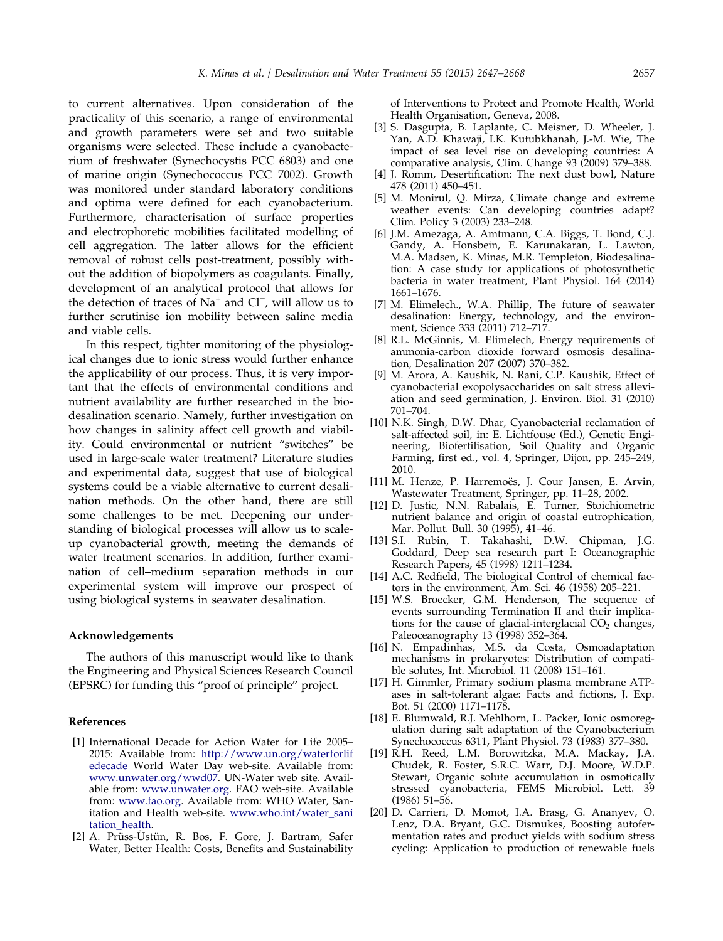<span id="page-10-0"></span>to current alternatives. Upon consideration of the practicality of this scenario, a range of environmental and growth parameters were set and two suitable organisms were selected. These include a cyanobacterium of freshwater (Synechocystis PCC 6803) and one of marine origin (Synechococcus PCC 7002). Growth was monitored under standard laboratory conditions and optima were defined for each cyanobacterium. Furthermore, characterisation of surface properties and electrophoretic mobilities facilitated modelling of cell aggregation. The latter allows for the efficient removal of robust cells post-treatment, possibly without the addition of biopolymers as coagulants. Finally, development of an analytical protocol that allows for the detection of traces of Na<sup>+</sup> and Cl<sup>−</sup> , will allow us to further scrutinise ion mobility between saline media and viable cells.

In this respect, tighter monitoring of the physiological changes due to ionic stress would further enhance the applicability of our process. Thus, it is very important that the effects of environmental conditions and nutrient availability are further researched in the biodesalination scenario. Namely, further investigation on how changes in salinity affect cell growth and viability. Could environmental or nutrient "switches" be used in large-scale water treatment? Literature studies and experimental data, suggest that use of biological systems could be a viable alternative to current desalination methods. On the other hand, there are still some challenges to be met. Deepening our understanding of biological processes will allow us to scaleup cyanobacterial growth, meeting the demands of water treatment scenarios. In addition, further examination of cell–medium separation methods in our experimental system will improve our prospect of using biological systems in seawater desalination.

## Acknowledgements

The authors of this manuscript would like to thank the Engineering and Physical Sciences Research Council (EPSRC) for funding this "proof of principle" project.

## References

- [1] International Decade for Action Water for Life 2005– 2015: Available from: [http://www.un.org/waterforlif](http://www.un.org/waterforlifedecade) [edecade](http://www.un.org/waterforlifedecade) World Water Day web-site. Available from: [www.unwater.org/wwd07.](http://www.unwater.org/wwd07) UN-Water web site. Available from: [www.unwater.org](http://www.unwater.org). FAO web-site. Available from: [www.fao.org.](http://www.fao.org) Available from: WHO Water, Sanitation and Health web-site. [www.who.int/water\\_sani](http://www.who.int/water_sanitation_health) tation health.
- [2] A. Prüss-Üstün, R. Bos, F. Gore, J. Bartram, Safer Water, Better Health: Costs, Benefits and Sustainability

of Interventions to Protect and Promote Health, World Health Organisation, Geneva, 2008.

- [3] S. Dasgupta, B. Laplante, C. Meisner, D. Wheeler, J. Yan, A.D. Khawaji, I.K. Kutubkhanah, J.-M. Wie, The impact of sea level rise on developing countries: A comparative analysis, Clim. Change 93 (2009) 379–388.
- [4] J. Romm, Desertification: The next dust bowl, Nature 478 (2011) 450–451.
- [5] M. Monirul, Q. Mirza, Climate change and extreme weather events: Can developing countries adapt? Clim. Policy 3 (2003) 233–248.
- [6] J.M. Amezaga, A. Amtmann, C.A. Biggs, T. Bond, C.J. Gandy, A. Honsbein, E. Karunakaran, L. Lawton, M.A. Madsen, K. Minas, M.R. Templeton, Biodesalination: A case study for applications of photosynthetic bacteria in water treatment, Plant Physiol. 164 (2014) 1661–1676.
- [7] M. Elimelech., W.A. Phillip, The future of seawater desalination: Energy, technology, and the environment, Science 333 (2011) 712–717.
- [8] R.L. McGinnis, M. Elimelech, Energy requirements of ammonia-carbon dioxide forward osmosis desalination, Desalination 207 (2007) 370–382.
- [9] M. Arora, A. Kaushik, N. Rani, C.P. Kaushik, Effect of cyanobacterial exopolysaccharides on salt stress alleviation and seed germination, J. Environ. Biol. 31 (2010) 701–704.
- [10] N.K. Singh, D.W. Dhar, Cyanobacterial reclamation of salt-affected soil, in: E. Lichtfouse (Ed.), Genetic Engineering, Biofertilisation, Soil Quality and Organic Farming, first ed., vol. 4, Springer, Dijon, pp. 245–249, 2010.
- [11] M. Henze, P. Harremoës, J. Cour Jansen, E. Arvin, Wastewater Treatment, Springer, pp. 11–28, 2002.
- [12] D. Justic, N.N. Rabalais, E. Turner, Stoichiometric nutrient balance and origin of coastal eutrophication, Mar. Pollut. Bull. 30 (1995), 41–46.
- [13] S.I. Rubin, T. Takahashi, D.W. Chipman, J.G. Goddard, Deep sea research part I: Oceanographic Research Papers, 45 (1998) 1211–1234.
- [14] A.C. Redfield, The biological Control of chemical factors in the environment, Am. Sci. 46 (1958) 205–221.
- [15] W.S. Broecker, G.M. Henderson, The sequence of events surrounding Termination II and their implications for the cause of glacial-interglacial  $CO<sub>2</sub>$  changes, Paleoceanography 13 (1998) 352–364.
- [16] N. Empadinhas, M.S. da Costa, Osmoadaptation mechanisms in prokaryotes: Distribution of compatible solutes, Int. Microbiol. 11 (2008) 151–161.
- [17] H. Gimmler, Primary sodium plasma membrane ATPases in salt-tolerant algae: Facts and fictions, J. Exp. Bot. 51 (2000) 1171–1178.
- [18] E. Blumwald, R.J. Mehlhorn, L. Packer, Ionic osmoregulation during salt adaptation of the Cyanobacterium Synechococcus 6311, Plant Physiol. 73 (1983) 377–380.
- [19] R.H. Reed, L.M. Borowitzka, M.A. Mackay, J.A. Chudek, R. Foster, S.R.C. Warr, D.J. Moore, W.D.P. Stewart, Organic solute accumulation in osmotically stressed cyanobacteria, FEMS Microbiol. Lett. 39 (1986) 51–56.
- [20] D. Carrieri, D. Momot, I.A. Brasg, G. Ananyev, O. Lenz, D.A. Bryant, G.C. Dismukes, Boosting autofermentation rates and product yields with sodium stress cycling: Application to production of renewable fuels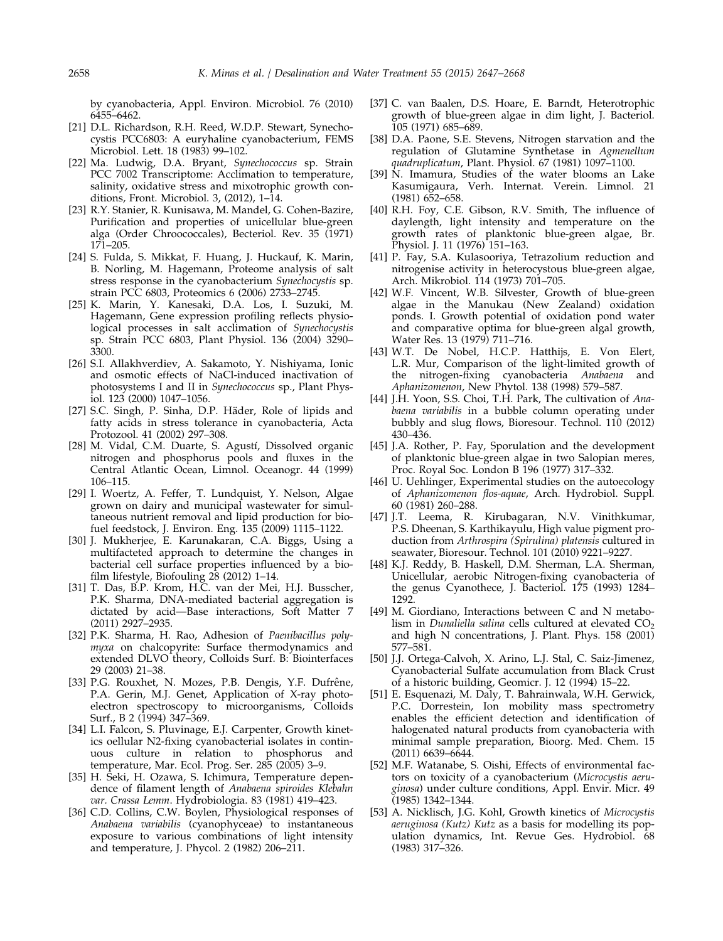<span id="page-11-0"></span>by cyanobacteria, Appl. Environ. Microbiol. 76 (2010) 6455–6462.

- [21] D.L. Richardson, R.H. Reed, W.D.P. Stewart, Synechocystis PCC6803: A euryhaline cyanobacterium, FEMS Microbiol. Lett. 18 (1983) 99–102.
- [22] Ma. Ludwig, D.A. Bryant, Synechococcus sp. Strain PCC 7002 Transcriptome: Acclimation to temperature, salinity, oxidative stress and mixotrophic growth conditions, Front. Microbiol. 3, (2012), 1–14.
- [23] R.Y. Stanier, R. Kunisawa, M. Mandel, G. Cohen-Bazire, Purification and properties of unicellular blue-green alga (Order Chroococcales), Becteriol. Rev. 35 (1971) 171–205.
- [24] S. Fulda, S. Mikkat, F. Huang, J. Huckauf, K. Marin, B. Norling, M. Hagemann, Proteome analysis of salt stress response in the cyanobacterium Synechocystis sp. strain PCC 6803, Proteomics 6 (2006) 2733–2745.
- [25] K. Marin, Y. Kanesaki, D.A. Los, I. Suzuki, M. Hagemann, Gene expression profiling reflects physiological processes in salt acclimation of Synechocystis sp. Strain PCC 6803, Plant Physiol. 136 (2004) 3290– 3300.
- [26] S.I. Allakhverdiev, A. Sakamoto, Y. Nishiyama, Ionic and osmotic effects of NaCl-induced inactivation of photosystems I and II in Synechococcus sp., Plant Physiol. 123 (2000) 1047–1056.
- [27] S.C. Singh, P. Sinha, D.P. Häder, Role of lipids and fatty acids in stress tolerance in cyanobacteria, Acta Protozool. 41 (2002) 297–308.
- [28] M. Vidal, C.M. Duarte, S. Agustí, Dissolved organic nitrogen and phosphorus pools and fluxes in the Central Atlantic Ocean, Limnol. Oceanogr. 44 (1999) 106–115.
- [29] I. Woertz, A. Feffer, T. Lundquist, Y. Nelson, Algae grown on dairy and municipal wastewater for simultaneous nutrient removal and lipid production for biofuel feedstock, J. Environ. Eng. 135 (2009) 1115–1122.
- [30] J. Mukherjee, E. Karunakaran, C.A. Biggs, Using a multifacteted approach to determine the changes in bacterial cell surface properties influenced by a biofilm lifestyle, Biofouling  $28$  (2012) 1–14.
- [31] T. Das, B.P. Krom, H.C. van der Mei, H.J. Busscher, P.K. Sharma, DNA-mediated bacterial aggregation is dictated by acid—Base interactions, Soft Matter 7 (2011) 2927–2935.
- [32] P.K. Sharma, H. Rao, Adhesion of Paenibacillus polymyxa on chalcopyrite: Surface thermodynamics and extended DLVO theory, Colloids Surf. B: Biointerfaces 29 (2003) 21–38.
- [33] P.G. Rouxhet, N. Mozes, P.B. Dengis, Y.F. Dufrêne, P.A. Gerin, M.J. Genet, Application of X-ray photoelectron spectroscopy to microorganisms, Colloids Surf., B 2 (1994) 347–369.
- [34] L.I. Falcon, S. Pluvinage, E.J. Carpenter, Growth kinetics oellular N2-fixing cyanobacterial isolates in continuous culture in relation to phosphorus and temperature, Mar. Ecol. Prog. Ser. 285 (2005) 3–9.
- [35] H. Seki, H. Ozawa, S. Ichimura, Temperature dependence of filament length of Anabaena spiroides Klebahn var. Crassa Lemm. Hydrobiologia. 83 (1981) 419–423.
- [36] C.D. Collins, C.W. Boylen, Physiological responses of Anabaena variabilis (cyanophyceae) to instantaneous exposure to various combinations of light intensity and temperature, J. Phycol. 2 (1982) 206–211.
- [37] C. van Baalen, D.S. Hoare, E. Barndt, Heterotrophic growth of blue-green algae in dim light, J. Bacteriol. 105 (1971) 685–689.
- [38] D.A. Paone, S.E. Stevens, Nitrogen starvation and the regulation of Glutamine Synthetase in Agmenellum quadruplicatum, Plant. Physiol. 67 (1981) 1097–1100.
- [39] N. Imamura, Studies of the water blooms an Lake Kasumigaura, Verh. Internat. Verein. Limnol. 21 (1981) 652–658.
- [40] R.H. Foy, C.E. Gibson, R.V. Smith, The influence of daylength, light intensity and temperature on the growth rates of planktonic blue-green algae, Br. Physiol. J. 11 (1976) 151–163.
- [41] P. Fay, S.A. Kulasooriya, Tetrazolium reduction and nitrogenise activity in heterocystous blue-green algae, Arch. Mikrobiol. 114 (1973) 701–705.
- [42] W.F. Vincent, W.B. Silvester, Growth of blue-green algae in the Manukau (New Zealand) oxidation ponds. I. Growth potential of oxidation pond water and comparative optima for blue-green algal growth, Water Res. 13 (1979) 711–716.
- [43] W.T. De Nobel, H.C.P. Hatthijs, E. Von Elert, L.R. Mur, Comparison of the light-limited growth of the nitrogen-fixing cyanobacteria Anabaena and Aphanizomenon, New Phytol. 138 (1998) 579–587.
- [44] J.H. Yoon, S.S. Choi, T.H. Park, The cultivation of Anabaena variabilis in a bubble column operating under bubbly and slug flows, Bioresour. Technol. 110 (2012) 430–436.
- [45] J.A. Rother, P. Fay, Sporulation and the development of planktonic blue-green algae in two Salopian meres, Proc. Royal Soc. London B 196 (1977) 317–332.
- [46] U. Uehlinger, Experimental studies on the autoecology of Aphanizomenon flos-aquae, Arch. Hydrobiol. Suppl. 60 (1981) 260–288.
- [47] J.T. Leema, R. Kirubagaran, N.V. Vinithkumar, P.S. Dheenan, S. Karthikayulu, High value pigment production from Arthrospira (Spirulina) platensis cultured in seawater, Bioresour. Technol. 101 (2010) 9221–9227.
- [48] K.J. Reddy, B. Haskell, D.M. Sherman, L.A. Sherman, Unicellular, aerobic Nitrogen-fixing cyanobacteria of the genus Cyanothece, J. Bacteriol. 175 (1993) 1284– 1292.
- [49] M. Giordiano, Interactions between C and N metabolism in Dunaliella salina cells cultured at elevated  $CO<sub>2</sub>$ and high N concentrations, J. Plant. Phys. 158 (2001) 577–581.
- [50] J.J. Ortega-Calvoh, X. Arino, L.J. Stal, C. Saiz-Jimenez, Cyanobacterial Sulfate accumulation from Black Crust of a historic building, Geomicr. J. 12 (1994) 15–22.
- [51] E. Esquenazi, M. Daly, T. Bahrainwala, W.H. Gerwick, P.C. Dorrestein, Ion mobility mass spectrometry enables the efficient detection and identification of halogenated natural products from cyanobacteria with minimal sample preparation, Bioorg. Med. Chem. 15 (2011) 6639–6644.
- [52] M.F. Watanabe, S. Oishi, Effects of environmental factors on toxicity of a cyanobacterium (Microcystis aeruginosa) under culture conditions, Appl. Envir. Micr. 49 (1985) 1342–1344.
- [53] A. Nicklisch, J.G. Kohl, Growth kinetics of Microcystis aeruginosa (Kutz) Kutz as a basis for modelling its population dynamics, Int. Revue Ges. Hydrobiol. 68 (1983) 317–326.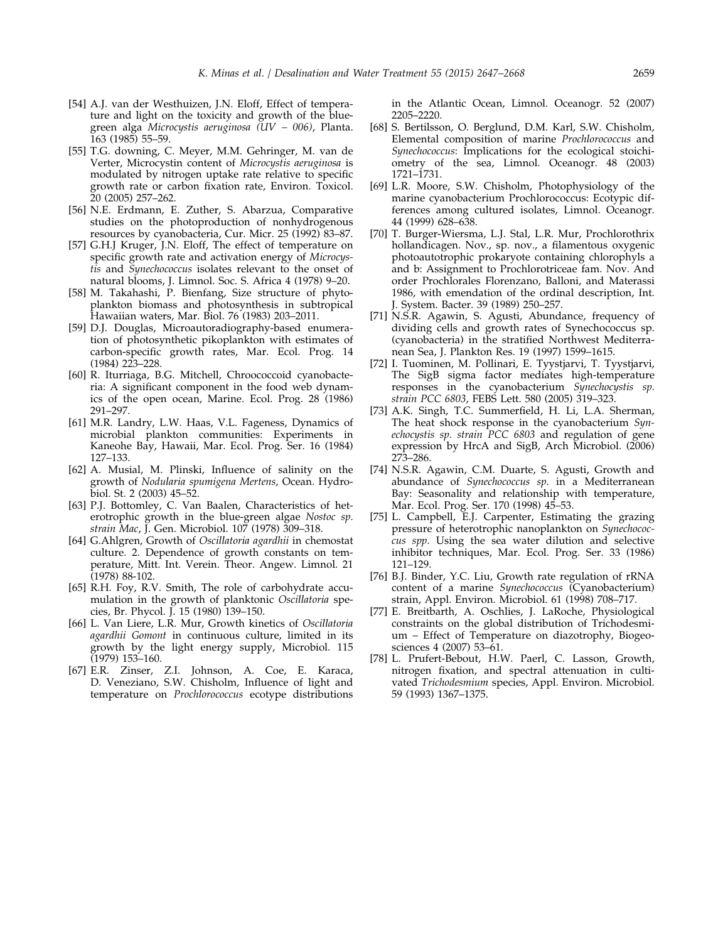- <span id="page-12-0"></span>[54] A.J. van der Westhuizen, J.N. Eloff, Effect of temperature and light on the toxicity and growth of the bluegreen alga Microcystis aeruginosa (UV – 006), Planta. 163 (1985) 55–59.
- [55] T.G. downing, C. Meyer, M.M. Gehringer, M. van de Verter, Microcystin content of Microcystis aeruginosa is modulated by nitrogen uptake rate relative to specific growth rate or carbon fixation rate, Environ. Toxicol. 20 (2005) 257–262.
- [56] N.E. Erdmann, E. Zuther, S. Abarzua, Comparative studies on the photoproduction of nonhydrogenous resources by cyanobacteria, Cur. Micr. 25 (1992) 83–87.
- [57] G.H.J Kruger, J.N. Eloff, The effect of temperature on specific growth rate and activation energy of Microcystis and Synechococcus isolates relevant to the onset of natural blooms, J. Limnol. Soc. S. Africa 4 (1978) 9–20.
- [58] M. Takahashi, P. Bienfang, Size structure of phytoplankton biomass and photosynthesis in subtropical Hawaiian waters, Mar. Biol. 76 (1983) 203–2011.
- [59] D.J. Douglas, Microautoradiography-based enumeration of photosynthetic pikoplankton with estimates of carbon-specific growth rates, Mar. Ecol. Prog. 14 (1984) 223–228.
- [60] R. Iturriaga, B.G. Mitchell, Chroococcoid cyanobacteria: A significant component in the food web dynamics of the open ocean, Marine. Ecol. Prog. 28 (1986) 291–297.
- [61] M.R. Landry, L.W. Haas, V.L. Fageness, Dynamics of microbial plankton communities: Experiments in Kaneohe Bay, Hawaii, Mar. Ecol. Prog. Ser. 16 (1984) 127–133.
- [62] A. Musial, M. Plinski, Influence of salinity on the growth of Nodularia spumigena Mertens, Ocean. Hydrobiol. St. 2 (2003) 45–52.
- [63] P.J. Bottomley, C. Van Baalen, Characteristics of heterotrophic growth in the blue-green algae Nostoc sp. strain Mac, J. Gen. Microbiol. 107 (1978) 309–318.
- [64] G.Ahlgren, Growth of Oscillatoria agardhii in chemostat culture. 2. Dependence of growth constants on temperature, Mitt. Int. Verein. Theor. Angew. Limnol. 21 (1978) 88-102.
- [65] R.H. Foy, R.V. Smith, The role of carbohydrate accumulation in the growth of planktonic Oscillatoria species, Br. Phycol. J. 15 (1980) 139–150.
- [66] L. Van Liere, L.R. Mur, Growth kinetics of Oscillatoria agardhii Gomont in continuous culture, limited in its growth by the light energy supply, Microbiol. 115 (1979) 153–160.
- [67] E.R. Zinser, Z.I. Johnson, A. Coe, E. Karaca, D. Veneziano, S.W. Chisholm, Influence of light and temperature on Prochlorococcus ecotype distributions

in the Atlantic Ocean, Limnol. Oceanogr. 52 (2007) 2205–2220.

- [68] S. Bertilsson, O. Berglund, D.M. Karl, S.W. Chisholm, Elemental composition of marine Prochlorococcus and Synechococcus: Implications for the ecological stoichiometry of the sea, Limnol. Oceanogr. 48 (2003) 1721–1731.
- [69] L.R. Moore, S.W. Chisholm, Photophysiology of the marine cyanobacterium Prochlorococcus: Ecotypic differences among cultured isolates, Limnol. Oceanogr. 44 (1999) 628–638.
- [70] T. Burger-Wiersma, L.J. Stal, L.R. Mur, Prochlorothrix hollandicagen. Nov., sp. nov., a filamentous oxygenic photoautotrophic prokaryote containing chlorophyls a and b: Assignment to Prochlorotriceae fam. Nov. And order Prochlorales Florenzano, Balloni, and Materassi 1986, with emendation of the ordinal description, Int. J. System. Bacter. 39 (1989) 250–257.
- [71] N.S.R. Agawin, S. Agusti, Abundance, frequency of dividing cells and growth rates of Synechococcus sp. (cyanobacteria) in the stratified Northwest Mediterranean Sea, J. Plankton Res. 19 (1997) 1599–1615.
- [72] I. Tuominen, M. Pollinari, E. Tyystjarvi, T. Tyystjarvi, The SigB sigma factor mediates high-temperature responses in the cyanobacterium Synechocystis sp. strain PCC 6803, FEBS Lett. 580 (2005) 319–323.
- [73] A.K. Singh, T.C. Summerfield, H. Li, L.A. Sherman, The heat shock response in the cyanobacterium Synechocystis sp. strain PCC 6803 and regulation of gene expression by HrcA and SigB, Arch Microbiol. (2006) 273–286.
- [74] N.S.R. Agawin, C.M. Duarte, S. Agusti, Growth and abundance of Synechococcus sp. in a Mediterranean Bay: Seasonality and relationship with temperature, Mar. Ecol. Prog. Ser. 170 (1998) 45–53.
- [75] L. Campbell, E.J. Carpenter, Estimating the grazing pressure of heterotrophic nanoplankton on Synechococcus spp. Using the sea water dilution and selective inhibitor techniques, Mar. Ecol. Prog. Ser. 33 (1986) 121–129.
- [76] B.J. Binder, Y.C. Liu, Growth rate regulation of rRNA content of a marine Synechococcus (Cyanobacterium) strain, Appl. Environ. Microbiol. 61 (1998) 708–717.
- [77] E. Breitbarth, A. Oschlies, J. LaRoche, Physiological constraints on the global distribution of Trichodesmium – Effect of Temperature on diazotrophy, Biogeosciences 4 (2007) 53–61.
- [78] L. Prufert-Bebout, H.W. Paerl, C. Lasson, Growth, nitrogen fixation, and spectral attenuation in cultivated Trichodesmium species, Appl. Environ. Microbiol. 59 (1993) 1367–1375.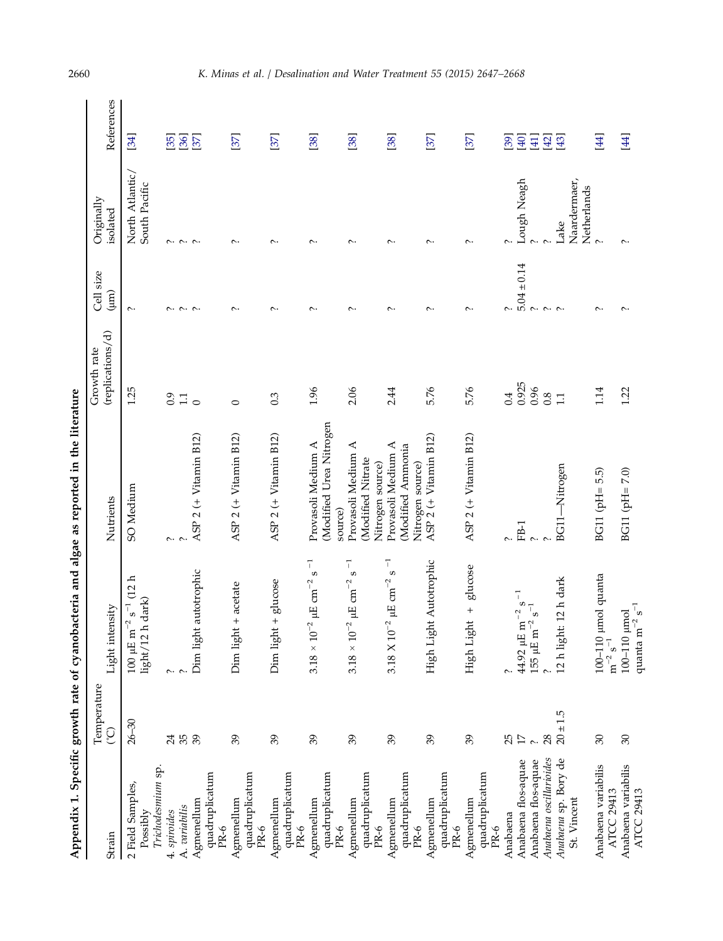| $\gamma$ ecific growth rate of cyanobacteria and algae as reported in the $\alpha$ |
|------------------------------------------------------------------------------------|
|                                                                                    |
|                                                                                    |
|                                                                                    |
|                                                                                    |
|                                                                                    |
|                                                                                    |
|                                                                                    |
|                                                                                    |
|                                                                                    |
|                                                                                    |
|                                                                                    |
| こし こうちょう                                                                           |

<span id="page-13-0"></span>

|                                          |                           |                                                                                              | Appendix 1. Specific growth rate of cyanobacteria and algae as reported in the literature |                                 |                            |                                          |                     |
|------------------------------------------|---------------------------|----------------------------------------------------------------------------------------------|-------------------------------------------------------------------------------------------|---------------------------------|----------------------------|------------------------------------------|---------------------|
| Strain                                   | Temperature<br>$\bigodot$ | Light intensity                                                                              | Nutrients                                                                                 | (replications/d)<br>Growth rate | Cell size<br>$(\text{mm})$ | Originally<br>isolated                   | References          |
| 2 Field Samples,<br>Possibly             | $26 - 30$                 | $\mathbf{r}$<br>$s^{-1}$ (12)<br>100 µE m $^{-2}$ s $^{-1}$ (<br>light/12 h dark)<br>$^{-2}$ | SO Medium                                                                                 | 1.25                            | $\sim$                     | North Atlantic/<br>South Pacific         | [34]                |
| Trichodesmium sp.<br>4. spiroides        |                           | $\ddot{\sim}$                                                                                | $\sim$                                                                                    | 6.9                             |                            |                                          | [35]                |
| A. variabilis                            | 74.59                     |                                                                                              |                                                                                           | 1.1                             | $\sim$ $\sim$ $\sim$       | $\sim$ $\sim$ $\sim$                     |                     |
| quadruplicatum<br>Agmenellum<br>$PR-6$   |                           | autotrophic<br>Dim light                                                                     | ASP 2 (+ Vitamin B12)                                                                     | $\circ$                         |                            |                                          | $\frac{[36]}{[37]}$ |
| quadruplicatum<br>Agmenellum<br>$PR-6$   | 39                        | + acetate<br>Dim light                                                                       | ASP $2$ (+ Vitamin B12)                                                                   | $\circ$                         | $\sim$                     | $\sim$                                   | [37]                |
| quadruplicatum<br>Agmenellum<br>$PR-6$   | $\mathcal{E}$             | glucose<br>$\ddot{}$<br>Dim light                                                            | ASP 2 (+ Vitamin B12)                                                                     | $0.\overline{3}$                | $\sim$                     | $\sim$                                   | [37]                |
| quadruplicatum<br>Agmenellum<br>$PR-6$   | $\mathcal{E}$             | T<br>$\Omega$<br>$\mu E~cm^{-2}$<br>$3.18\times10^{-2}$                                      | Modified Urea Nitrogen<br>Provasoli Medium A<br>source)                                   | 1.96                            | $\sim$                     | $\sim$                                   | [38]                |
| quadruplicatum<br>Agmenellum<br>$PR-6$   | $\mathcal{E}$             | $\overline{1}$<br>$\Omega$<br>$\mu E\ cm^{-2}$<br>Ņ<br>$3.18 \times 10^{-7}$                 | Provasoli Medium A<br>Modified Nitrate<br>Nitrogen source)                                | 2.06                            | $\sim$                     | $\sim$                                   | [38]                |
| quadruplicatum<br>Agmenellum<br>PR-6     | 39                        | Т<br>$\Omega$<br>$\mu E\ cm^{-2}$<br>$3.18\times10^{-2}$                                     | Provasoli Medium A<br>Modified Ammonia<br>Nitrogen source)                                | 2.44                            | $\sim$                     | $\sim$                                   | [38]                |
| quadruplicatum<br>Agmenellum<br>PR-6     | $\mathcal{E}$             | High Light Autotrophic                                                                       | ASP $2$ (+ Vitamin B12)                                                                   | 5.76                            | $\sim$                     | $\sim$                                   | [37]                |
| quadruplicatum<br>Agmenellum<br>PR-6     | $\mathcal{E}$             | glucose<br>$\ddot{}$<br>High Light                                                           | ASP $2$ (+ Vitamin B12)                                                                   | 5.76                            | $\sim$                     | $\sim$                                   | [37]                |
| Anabaena                                 |                           | $\sim$                                                                                       | $\sim$                                                                                    | 0.4                             | $\sim$                     | $\sim$                                   | [39]                |
| Anabaena flos-aquae                      | 25                        | $s^{-1}$                                                                                     | FB-1                                                                                      | 0.925                           | $5.04 \pm 0.14$            | Lough Neagh                              | [40]                |
| Anabaena flos-aquae                      | $\sim$                    | $\overline{5}$<br>$44.92$<br>$\upmu\text{E m}^{-2}$ s 155 $\upmu\text{E m}^{-2}$ s $^{-1}$   |                                                                                           | 0.96                            | $\sim$                     |                                          | $[41]$              |
| Anabaena oscillarioides                  | 28                        |                                                                                              |                                                                                           | 0.8<br>$\overline{1.1}$         | $\sim$ $\sim$              |                                          | $[42]$              |
| Anabaena sp. Bory de<br>St. Vincent      | $20\pm1.5$                | 12 h light: 12 h dark                                                                        | BG11-Nitrogen                                                                             |                                 |                            | Naardermaer,<br>Netherlands<br>?<br>Lake | $[43]$              |
| Anabaena variabilis<br><b>ATCC 29413</b> | $\mathcal{E}$             | 100-110 µmol quanta<br>$m^{-2}$ s $^{-1}$                                                    | 5.5)<br>BG11 (pH=                                                                         | 1.14                            | $\sim$                     |                                          | [44]                |
| Anabaena variabilis<br>ATCC 29413        | $\Im$                     | $-5^{-1}$<br>100–110 µmol<br>~~~~~~~~~~~~~~~~~~~<br>quanta m                                 | $BGI1$ (pH= $7.0$ )                                                                       | 1.22                            | $\sim$                     |                                          | [44]                |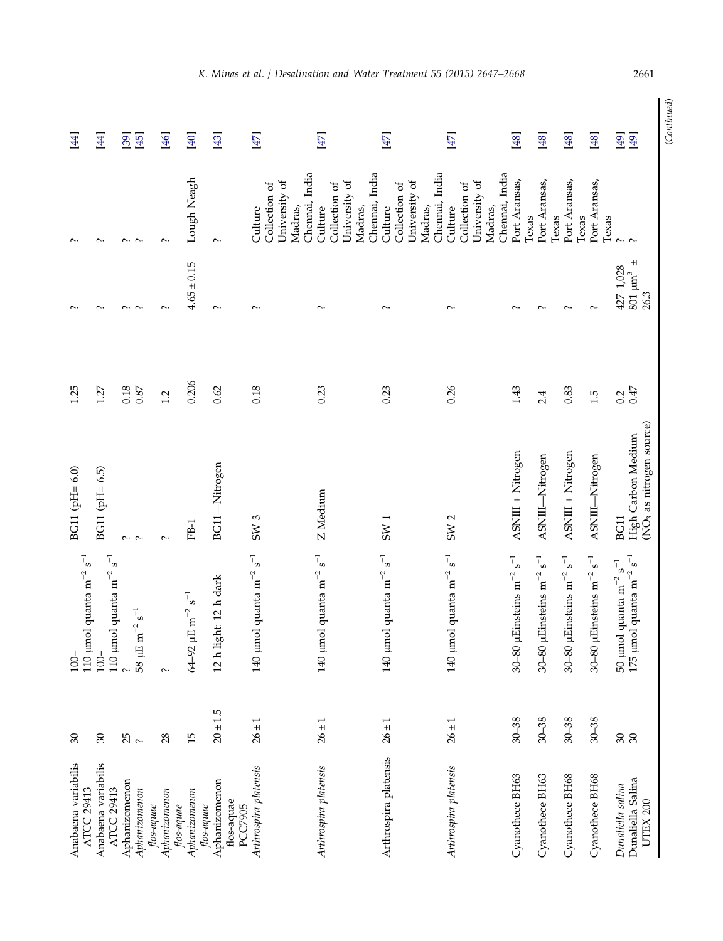| Anabaena variabilis | $\Im$ | quanta m $^{-2}$ s $^{-1}$<br>$110 \mu$ mol<br>$100 -$                                            | $BG11$ ( $pH = 6.0$ )                                              | 1.25             | $\sim$                                                | $\sim$                                                                 | [44]         |
|---------------------|-------|---------------------------------------------------------------------------------------------------|--------------------------------------------------------------------|------------------|-------------------------------------------------------|------------------------------------------------------------------------|--------------|
| $\mathcal{E}$       |       | $\bar{s}^{-1}$<br>quanta $\, {\rm m}^{-2}$<br>$110 \mu$ mol<br>$100-$                             | $BG11$ ( $pH = 6.5$ )                                              | 1.27             | $\sim$                                                | $\sim$                                                                 | [44]         |
| 25                  |       | $\Gamma^{-}$<br>58 µ $\mathrm{E m}^{-2}$                                                          | $\sim$<br>$\sim$                                                   | 0.18<br>$0.87\,$ | $\sim$ $\sim$                                         | $\sim$ $\sim$                                                          | [45]<br>[39] |
| 28                  |       | $\sim$                                                                                            | $\sim$                                                             | 1.2              | $\sim$                                                | $\sim$                                                                 | [46]         |
| 15                  |       | $\mathbf{s}^{-1}$<br>$64\text{--}92~\upmu\text{E m}^{-2}$                                         | FB-1                                                               | 0.206            | $4.65 \pm 0.15$                                       | Lough Neagh                                                            | [40]         |
| $20 \pm 1.5$        |       | 12 h dark<br>12 h light:                                                                          | BG11-Nitrogen                                                      | 0.62             | $\sim$                                                | $\sim$                                                                 | [43]         |
| $26 \pm 1$          |       | $\mathbf{s}^{-1}$<br>quanta $\mathrm{m}^{-2}$<br>$140 \mu$ nd                                     | SW3                                                                | 0.18             | $\sim$                                                | Chennai, India<br>University of<br>Collection of<br>Madras,<br>Culture | [47]         |
| $26 \pm 1$          |       | $\Gamma_{\rm I}$<br>quanta $\, {\rm m}^{-2}$<br>140 µmol                                          | Z Medium                                                           | 0.23             | $\sim$                                                | Chennai, India<br>University of<br>Collection of<br>Madras,<br>Culture | [47]         |
| $26 \pm 1$          |       | $\Gamma_{\rm I}$<br>quanta $\, {\rm m}^{-2}$<br>$140 \text{ \mu}$ nd                              | <b>SW</b>                                                          | 0.23             | $\sim$                                                | Chennai, India<br>University of<br>Collection of<br>Madras,<br>Culture | [47]         |
| $26 \pm 1$          |       | $\mathbf{s}^{-1}$<br>quanta $\, {\rm m}^{-2}$<br>$140 \text{ } \mu \text{mol}$                    | $\mathbf{\Omega}$<br><b>SW</b>                                     | 0.26             | $\sim$                                                | Chennai, India<br>University of<br>Collection of<br>Madras,<br>Culture | [47]         |
| $30 - 38$           |       | $\mathbf{s}^{-1}$<br>30–80 $\upmu\mathrm{Einstein\,s\,m}^{-2}$                                    | ASNII + Nitrogen                                                   | 1.43             | $\sim$                                                | Port Aransas,<br>Texas                                                 | [48]         |
| $30 - 38$           |       | $\overline{\phantom{a}}^{1}$<br>30–80 $\upmu\!\mathrm{Einstein\,s\,m}^{-2}$                       | ASNIII-Nitrogen                                                    | 2.4              | $\sim$                                                | Port Aransas,<br>Texas                                                 | [48]         |
| $30 - 38$           |       | $\mathbf{s}^{-1}$<br>30–80 $\upmu\!\text{Einstein}$ m $^{-2}$                                     | ASNII + Nitrogen                                                   | 0.83             | $\sim$                                                | Port Aransas,<br>Texas                                                 | [48]         |
| $30 - 38$           |       | $s^{-1}$<br>30–80 $\upmu\mathrm{Einstein\,s\,m}^{-2}$                                             | ASNII-Nitrogen                                                     | $\frac{1}{5}$    | $\sim$                                                | Port Aransas,<br>Texas                                                 | [48]         |
| $\frac{8}{20}$      |       | $\overline{\mathbf{s}}^{-1}$<br>50 µmol quanta m <sup>-2</sup><br>175 µmol quanta m <sup>-2</sup> | (NO <sub>3</sub> as nitrogen source)<br>High Carbon Medium<br>BG11 | 0.47<br>0.2      | $\pm$<br>$427 - 1,028$<br>801 $\mu m^3$ $\pm$<br>26.3 |                                                                        | [49]<br>[49] |
|                     |       |                                                                                                   |                                                                    |                  |                                                       |                                                                        | (Continued)  |

## K. Minas et al. / Desalination and Water Treatment 55 (2015) 2647-2668 2661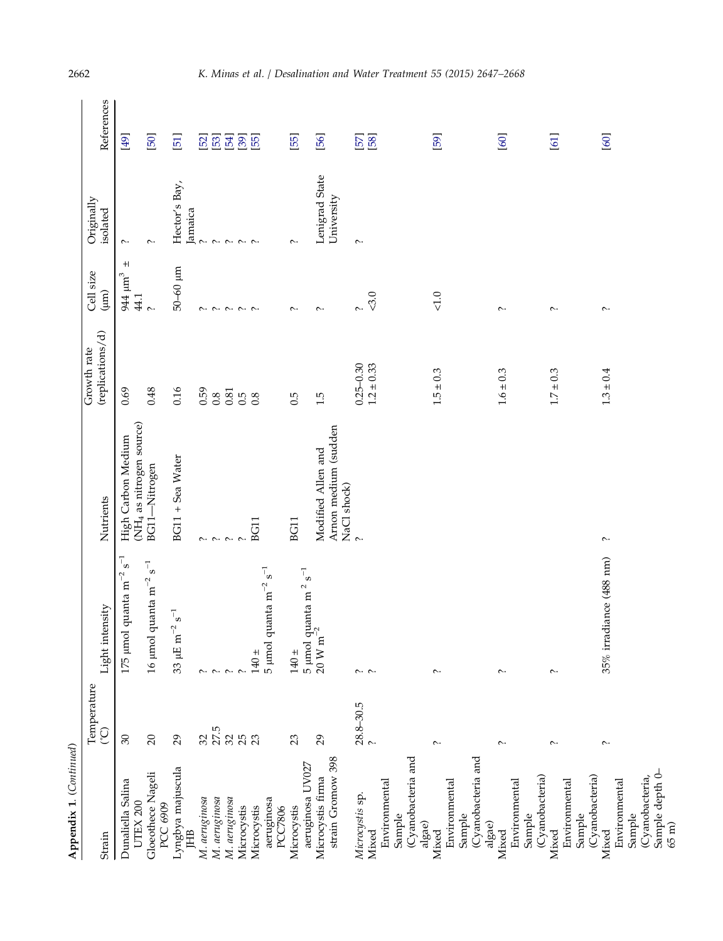| Appendix 1. (Continued)                |                           |                                                                                      |                                                            |                                 |                                         |                              |                 |
|----------------------------------------|---------------------------|--------------------------------------------------------------------------------------|------------------------------------------------------------|---------------------------------|-----------------------------------------|------------------------------|-----------------|
| Strain                                 | Temperature<br>$\bigodot$ | Light intensity                                                                      | Nutrients                                                  | (replications/d)<br>Growth rate | Cell size<br>(m)                        | Originally<br>isolated       | References      |
|                                        |                           |                                                                                      |                                                            |                                 |                                         |                              |                 |
| Dunaliella Salina<br>UTEX 200          | $\mathcal{E}$             | $\mathbf{s}^{-1}$<br>175 µmol quanta m $^{-2}$                                       | (NH <sub>4</sub> as nitrogen source)<br>High Carbon Medium | 0.69                            | $+$<br>$944~\mathrm{\upmu m}^3$<br>44.1 | $\sim$                       | [49]            |
| Gloeothece Nageli<br>PCC 6909          | $\Omega$                  | $\mathbf{s}^{-1}$<br>$16~\mathrm{\upmu mol}$ quanta $\mathrm{m}^{-2}$                | BG11-Nitrogen                                              | 0.48                            | $\sim$                                  | $\sim$                       | [50]            |
| Lyngbya majuscula<br>臣                 | $_{29}$                   | $\mathbf{s}^{-1}$<br>$33~\mu\mathrm{E~m}^{-2}$                                       | BG11 + Sea Water                                           | 0.16                            | 50-60 µm                                | Hector's Bay,<br>Jamaica     | [51]            |
| M. aeruginosa                          |                           |                                                                                      |                                                            | 0.59                            |                                         |                              | $[52]$          |
| M. aeruginosa                          | 32.5                      | $\sim$ $\sim$                                                                        | $\sim$ $\sim$ $\sim$                                       | 0.8                             | $\sim$ $\sim$ $\sim$ $\sim$ $\sim$      | $\sim$ $\sim$ $\sim$         | [53]            |
| M. aeruginosa                          | 32                        | $\sim$                                                                               |                                                            | 0.81                            |                                         |                              | [54]            |
| Microcystis                            | <b>25</b><br>23           |                                                                                      | $\sim$                                                     | 0.5                             |                                         | $\sim$ $\sim$                | [39]            |
| aeruginosa<br>Microcystis<br>PCC7806   |                           | $\mathbf{s}^{-1}$<br>$5 \; \mathrm{\upmu mol}$ quanta $\mathrm{m}^{-2}$<br>$140 \pm$ | BG11                                                       | 0.8                             |                                         |                              | $\overline{55}$ |
| aeruginosa UV027<br>Microcystis        | 23                        | $\mathbf{s}^{-1}$<br>$\sim$<br>$140 \pm$                                             | BG11                                                       | 0.5                             | $\sim$                                  | $\sim$                       | [55]            |
|                                        | $\overline{29}$           | 5 µmol quanta m<br>20 W m <sup>-2</sup>                                              | Modified Allen and                                         | 1.5                             | $\sim$                                  |                              |                 |
| strain Gromow 398<br>Microcystis firma |                           |                                                                                      | Arnon medium (sudden                                       |                                 |                                         | Lenigrad State<br>University | $\overline{56}$ |
| Microcystis sp.                        |                           |                                                                                      | NaCl shock)<br>?                                           | $0.25 - 0.30$                   | $\sim$                                  | $\sim$                       | [57]            |
| Mixed                                  | $\frac{28.8 - 30.5}{?}$   | $\sim$ $\sim$                                                                        |                                                            | $1.2 \pm 0.33$                  | $3.0$                                   |                              | [58]            |
| Environmental                          |                           |                                                                                      |                                                            |                                 |                                         |                              |                 |
| Sample                                 |                           |                                                                                      |                                                            |                                 |                                         |                              |                 |
| (Cyanobacteria and                     |                           |                                                                                      |                                                            |                                 |                                         |                              |                 |
| algae)                                 |                           |                                                                                      |                                                            |                                 |                                         |                              |                 |
| Mixed                                  | $\sim$                    | $\sim$                                                                               |                                                            | $1.5 \pm 0.3$                   | $\lesssim 0$                            |                              | [59]            |
| Environmental<br>Sample                |                           |                                                                                      |                                                            |                                 |                                         |                              |                 |
| (Cyanobacteria and                     |                           |                                                                                      |                                                            |                                 |                                         |                              |                 |
| algae)                                 |                           |                                                                                      |                                                            |                                 |                                         |                              |                 |
| Mixed                                  | $\sim$                    | $\sim$                                                                               |                                                            | $1.6 \pm 0.3$                   | $\sim$                                  |                              | [60]            |
| Environmental                          |                           |                                                                                      |                                                            |                                 |                                         |                              |                 |
| Sample                                 |                           |                                                                                      |                                                            |                                 |                                         |                              |                 |
| (Cyanobacteria)                        |                           |                                                                                      |                                                            |                                 |                                         |                              |                 |
| Mixed                                  | $\sim$                    | $\sim$                                                                               |                                                            | $1.7 \pm 0.3$                   | $\sim$                                  |                              | $[61]$          |
| Environmental                          |                           |                                                                                      |                                                            |                                 |                                         |                              |                 |
| Sample                                 |                           |                                                                                      |                                                            |                                 |                                         |                              |                 |
| (Cyanobacteria)<br>Mixed               | $\sim$                    | 35% irradiance (488 nm)                                                              | $\sim$                                                     | $1.3 \pm 0.4$                   | $\sim$                                  |                              | [60]            |
|                                        |                           |                                                                                      |                                                            |                                 |                                         |                              |                 |
| Environmental                          |                           |                                                                                      |                                                            |                                 |                                         |                              |                 |
| Sample                                 |                           |                                                                                      |                                                            |                                 |                                         |                              |                 |
| (Cyanobacteria,                        |                           |                                                                                      |                                                            |                                 |                                         |                              |                 |
| Sample depth 0-<br>$65 \text{ m}$      |                           |                                                                                      |                                                            |                                 |                                         |                              |                 |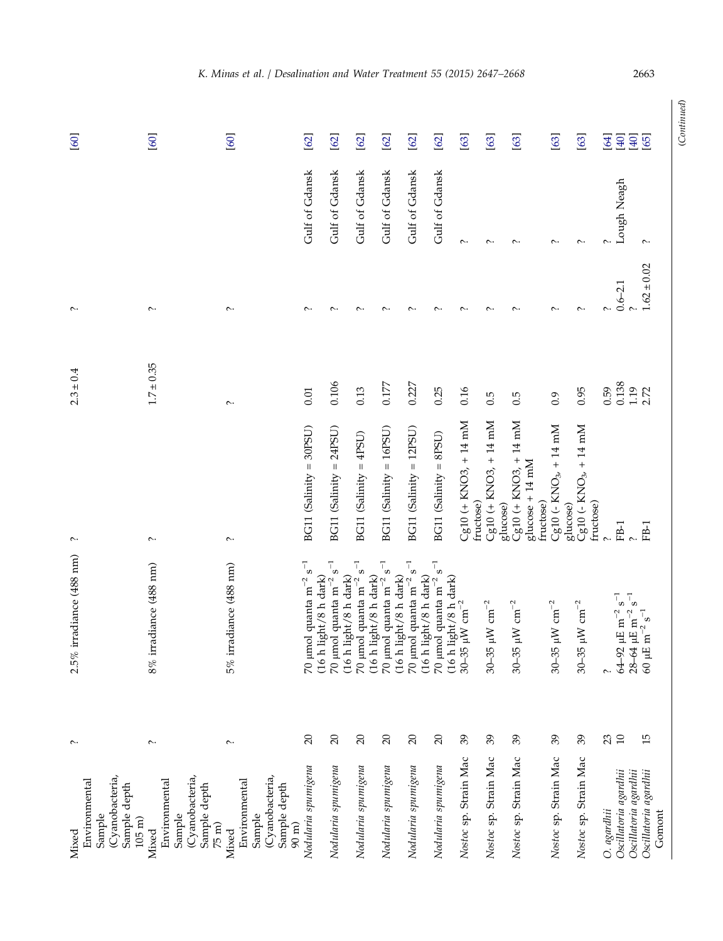| Mixed                                                                                        | $\sim$         | $2.5\%$ irradiance (488 nm)                                                                                       | $\sim$                                                     | $2.3 \pm 0.4$   | $\sim$          |                | [60]         |
|----------------------------------------------------------------------------------------------|----------------|-------------------------------------------------------------------------------------------------------------------|------------------------------------------------------------|-----------------|-----------------|----------------|--------------|
| (Cyanobacteria,<br>Environmental<br>Sample depth<br>Sample<br>$105 \text{ m}$                |                |                                                                                                                   |                                                            |                 |                 |                |              |
| (Cyanobacteria,<br>Environmental<br>Sample depth<br>Sample<br>$75 \text{ m}$<br><b>Mixed</b> | $\sim$         | 8% irradiance (488 nm)                                                                                            | $\sim$                                                     | $= 0.35$<br>1.7 | $\sim$          |                | [60]         |
| (Cyanobacteria,<br>Environmental<br>Sample depth<br>Sample<br>$90 \text{ m}$<br>Mixed        | $\sim$         | 5% irradiance (488 nm)                                                                                            | $\sim$                                                     | $\sim$          | $\sim$          |                | [60]         |
| Nodularia spumigena                                                                          | $\overline{c}$ | 70 µmol quanta m <sup>-2</sup> $s^{-1}$<br>$(16 h$ light/8 h dark)                                                | $BG11$ (Salinity = $30PSU$ )                               | 0.01            | $\sim$          | Gulf of Gdansk | [62]         |
| Nodularia spumigena                                                                          | $\overline{c}$ | 70 µmol quanta m <sup>-2</sup> s <sup>-1</sup><br>(16 h light/8 h dark)                                           | $BGI1$ (Salinity = 24PSU)                                  | 0.106           | $\sim$          | Gulf of Gdansk | [62]         |
| Nodularia spumigena                                                                          | $\overline{c}$ | 70 $\mu$ mol quanta m <sup>-2</sup> s <sup>-1</sup><br>$(16 h$ light/8 h dark)                                    | $BGI1$ (Salinity = $4PSU$ )                                | 0.13            | $\sim$          | Gulf of Gdansk | [62]         |
| Nodularia spumigena                                                                          | $\overline{c}$ | 70 $\mu$ mol quanta m <sup>-2</sup> s <sup>-1</sup><br>$(16 h$ light/8 h dark)                                    | $BG11$ (Salinity = $16PSU$ )                               | 0.177           | $\sim$          | Gulf of Gdansk | [62]         |
| Nodularia spumigena                                                                          | $\overline{c}$ | $\Gamma^{-}$<br>$(16 h$ light/8 h dark)<br>70 $\mu$ mol quanta m <sup>-2</sup>                                    | $BGI1$ (Salinity = $12PSU$ )                               | 0.227           | $\sim$          | Gulf of Gdansk | [62]         |
| Nodularia spumigena                                                                          | $\overline{c}$ | $\mathbf{s}^{-1}$<br>$(16 h$ light/8 h dark)<br>70 $\mu$ mol quanta m <sup>-2</sup>                               | $BGI1$ (Salinity = $8PSU$ )                                | 0.25            | $\sim$          | Gulf of Gdansk | [62]         |
| Nostoc sp. Strain Mac                                                                        | $\mathcal{E}$  | $\mu W~\rm{cm}^{-2}$<br>$30 - 35$                                                                                 | $Cg10$ (+ KNO3, + 14 mM<br>fructose)                       | 0.16            | $\sim$          | $\sim$         | [63]         |
| Nostoc sp. Strain Mac                                                                        | $\mathcal{E}$  | $\mu W~cm^{-2}$<br>$30 - 35$                                                                                      | $Cg10$ (+ KNO3, + 14 mM<br>glucose)                        | 0.5             | $\sim$          | $\sim$         | [63]         |
| Nostoc sp. Strain Mac                                                                        | 39             | $\mu W~cm^{-2}$<br>$30 - 35$                                                                                      | $Cg10$ (+ KNO3, + 14 mM<br>$glu$ cose + 14 mM<br>fructose) | 0.5             | $\sim$          |                | [63]         |
| Nostoc sp. Strain Mac                                                                        | $\mathcal{E}$  | $\mu W~\rm{cm}^{-2}$<br>$30 - 35$                                                                                 | $Cg10$ (- KNO <sub>3</sub> , + 14 mM<br>glucose)           | 0.9             | $\sim$          | $\sim$         | [63]         |
| Nostoc sp. Strain Mac                                                                        | $\mathcal{E}$  | $\mu W~cm^{-2}$<br>$30 - 35$                                                                                      | $Cg10$ (- KNO <sub>3</sub> , + 14 mM<br>fructose)          | 0.95            | $\sim$          | $\sim$         | [63]         |
| O. agardhii                                                                                  | 23             | $\sim$                                                                                                            |                                                            | 0.59            |                 |                | [64]         |
| Oscillatoria agardhii<br>Oscillatoria agardhii                                               | 10             | $\Gamma^{-}$<br>$\rm{^{1-}}$<br>$\mu E$ m <sup><math>^{-2}</math></sup><br>$\mu E \ m^{-2}$<br>64-92<br>$28 - 64$ | FB-1                                                       | 0.138<br>1.19   | $0.6 - 2.1$     | Lough Neagh    | [40]<br>[40] |
| Oscillatoria agardhii<br>Gomont                                                              | 15             | $\mathrm{m}^{-2}$ s $^{-1}$<br>5400                                                                               | FB-1                                                       | 2.72            | $1.62 \pm 0.02$ | $\sim$         | [65]         |

## K. Minas et al. / Desalination and Water Treatment 55 (2015) 2647-2668 2663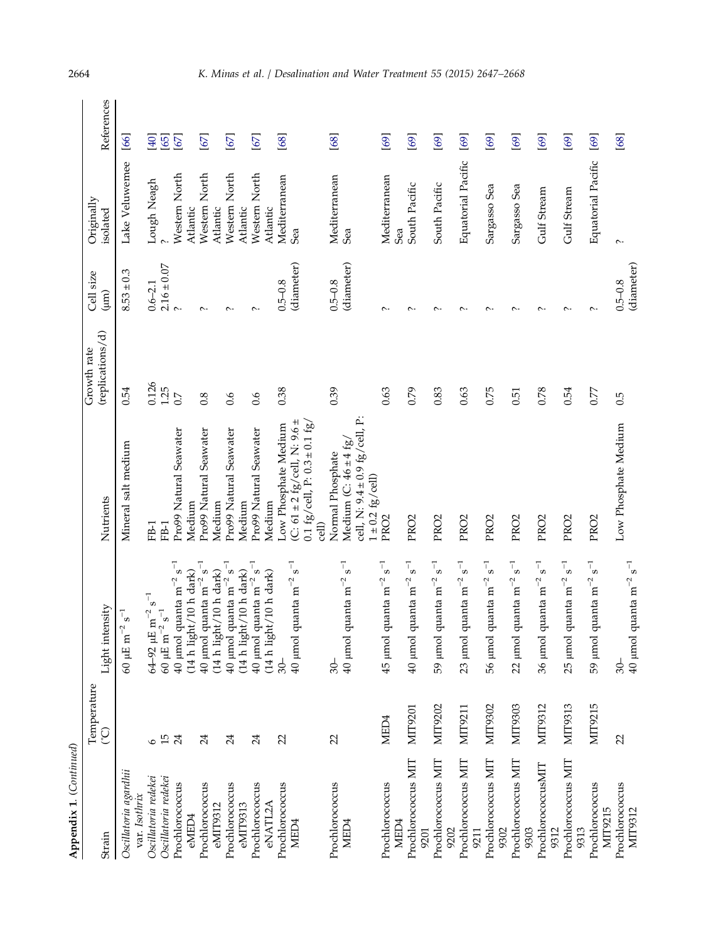| Appendix 1. (Continued)                |                           |                                                                                    |                                                                                     |                                 |                            |                           |            |
|----------------------------------------|---------------------------|------------------------------------------------------------------------------------|-------------------------------------------------------------------------------------|---------------------------------|----------------------------|---------------------------|------------|
| Strain                                 | Temperature<br>$\bigodot$ | Light intensity                                                                    | Nutrients                                                                           | (replications/d)<br>Growth rate | Cell size<br>$(\text{mm})$ | Originally<br>isolated    | References |
| Oscillatoria agardhii<br>var. Isothrix |                           | $\mathbf{s}^{-1}$<br>$60~\mu E~m^{-2}$                                             | Mineral salt medium                                                                 | 0.54                            | $8.53 \pm 0.3$             | Lake Veluwemee            | [66]       |
| Oscillatoria redekei                   | Ó                         | $\mathbf{s}^{-1}$<br>$m^{-2}$ .<br>64-92 µE                                        | 田-1                                                                                 | $\frac{0.126}{1.25}$            | $0.6 - 2.1$                | Lough Neagh               | [40]       |
| Oscillatoria redekci                   | $\overline{15}$           | $\mathbf{s}^{-1}$<br>60 µE m $^{-2}$                                               | Eal                                                                                 |                                 | $2.16 \pm 0.07$            |                           | [65]       |
| Prochlorococcus                        | 24                        | 40 µmol quanta m <sup>-2</sup> s <sup>-1</sup>                                     | Pro99 Natural Seawater                                                              | 0.7                             |                            | Western North             | [67]       |
| eMED4                                  |                           | $(14 h$ light/10 h dark)                                                           | Medium                                                                              |                                 |                            | Atlantic                  |            |
| Prochlorococcus<br>eMIT9312            | 24                        | 40 µmol quanta m $^{-2}$ s $^{-1}$<br>$(14 h$ light/10 h dark)                     | Pro99 Natural Seawater<br>Medium                                                    | 0.8                             | ç.                         | Western North<br>Atlantic | [67]       |
| Prochlorococcus                        | 24                        | 40 µmol quanta m $^{-2}$ s $^{-1}$                                                 | Pro99 Natural Seawater                                                              | 0.6                             |                            | Western North             | [67]       |
| eMIT9313                               |                           | $(14 h$ light/10 h dark)                                                           | Medium                                                                              |                                 |                            | Atlantic                  |            |
| Prochlorococcus<br>eNATL2A             | 24                        | 40 µmol quanta m $^{-2}$ s $^{-1}$<br>$(14 h$ light/10 h dark)                     | Pro99 Natural Seawater<br>Medium                                                    | 0.6                             | Ç.                         | Western North<br>Atlantic | [67]       |
| Prochlorococcus                        | 22                        | $\mathbf{s}^{-1}$<br>$-06$                                                         | Low Phosphate Medium                                                                | 0.38                            | $0.5 - 0.8$                | Mediterranean             | [68]       |
| MED4                                   |                           | $40$ µmol quanta m $^{\rm -2}$                                                     | (C: 61 ± 2 fg/cell, N: 9.6 ±<br>0.1 fg/cell, P: $0.3 \pm 0.1$ fg,<br>cell)          |                                 | (diameter)                 | Sea                       |            |
| Prochlorococcus<br>MED4                | $\mathfrak{L}$            | $\mathbf{s}^{-1}$<br>$40~\upmu \text{mol}$ quanta $\text{m}^{-2}$<br>$-05$         | cell, N: $9.4 \pm 0.9$ fg/cell, P:<br>Medium (C: $46 \pm 4$ fg,<br>Normal Phosphate | 0.39                            | (diameter)<br>$0.5 - 0.8$  | Mediterranean<br>Sea      | [68]       |
| Prochlorococcus                        | MED4                      | $\mathbf{s}^{-1}$<br>$45$ µmol quanta m $^{\rm -2}$                                | $1 \pm 0.2$ fg/cell)<br>PRO <sub>2</sub>                                            | 0.63                            | $\sim$                     | Mediterranean             | [69]       |
| MED4                                   |                           |                                                                                    |                                                                                     |                                 |                            | Sea                       |            |
| Prochlorococcus MIT<br>9201            | <b>MIT9201</b>            | $\mathbf{s}^{-1}$<br>40 µmol quanta m <sup>-2</sup>                                | PRO <sub>2</sub>                                                                    | 0.79                            |                            | South Pacific             | [69]       |
| Prochlorococcus MIT<br>9202            | MIT9202                   | $\overline{\mathbf{s}}^{-1}$<br>$59~\mathrm{\upmu mol}$ quanta $\mathrm{m}^{-2}$   | PRO <sub>2</sub>                                                                    | 0.83                            |                            | South Pacific             | [69]       |
| Prochlorococcus MIT<br>9211            | MIT9211                   | $\mathbf{s}^{-1}$<br>23 µmol quanta m <sup>-2</sup>                                | PRO <sub>2</sub>                                                                    | 0.63                            |                            | Equatorial Pacific        | [69]       |
| Prochlorococcus MIT<br>9302            | MIT9302                   | $\overline{\mathbf{s}}^{-1}$<br>$56 \; \mu \mathrm{mol}$ quanta $\mathrm{m}^{-2}$  | PRO <sub>2</sub>                                                                    | 0.75                            |                            | Sargasso Sea              | [69]       |
| Prochlorococcus MIT<br>9303            | MIT9303                   | $\mathbf{s}^{-1}$<br>$22$ µmol quanta m $^{\rm -2}$                                | PRO <sub>2</sub>                                                                    | 0.51                            |                            | Sargasso Sea              | [69]       |
| ProchlorococcusMIT<br>9312             | MIT9312                   | $\mathbf{s}^{-1}$<br>36 µmol quanta m $^{\rm -2}$                                  | PRO <sub>2</sub>                                                                    | 0.78                            |                            | Gulf Stream               | [69]       |
| Prochlorococcus MIT<br>9313            | MIT9313                   | $\mathbf{s}^{-1}$<br>$25$ µmol quanta m $^{\rm -2}$                                | PRO <sub>2</sub>                                                                    | 0.54                            | $\sim$                     | Gulf Stream               | [69]       |
| Prochlorococcus<br>MIT9215             | MIT9215                   | $\overline{\mathbf{s}}^{-1}$<br>59 µmol quanta m $^{-2}$                           | PRO <sub>2</sub>                                                                    | 0.77                            | $\sim$                     | Equatorial Pacific        | [69]       |
| Prochlorococcus<br>MIT9312             | 22                        | 40 µmol quanta m <sup><math>-2</math></sup> s <sup><math>-1</math></sup><br>$-30-$ | Low Phosphate Medium                                                                | 0.5                             | (diameter)<br>$0.5 - 0.8$  | $\sim$                    | [68]       |

## 2664 K. Minas et al. / Desalination and Water Treatment 55 (2015) 2647–2668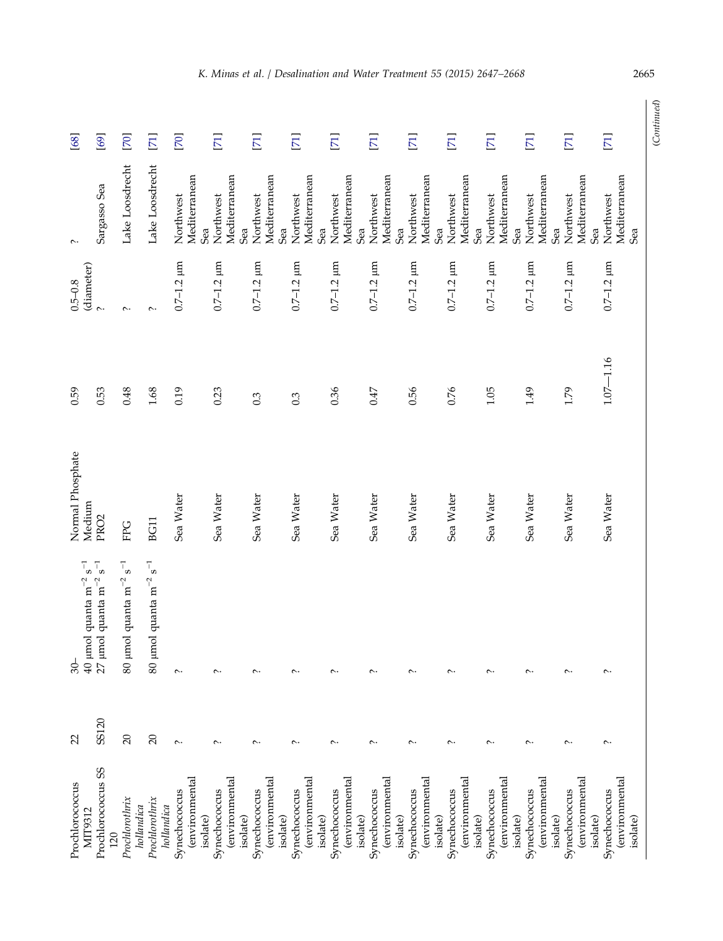| Prochlorococcus<br>MIT9312                  | 22             | 40 µmol quanta m <sup>-2</sup> s <sup>-1</sup><br>$-80$                     | Normal Phosphate<br>Medium | 0.59          | (diameter)<br>$0.5 - 0.8$ | $\sim$                            | [68]         |
|---------------------------------------------|----------------|-----------------------------------------------------------------------------|----------------------------|---------------|---------------------------|-----------------------------------|--------------|
| Prochlorococcus SS<br>120                   | SS120          | $\overline{\mathbf{s}}^{-1}$<br>$27 \text{ }\mu\text{mol}$ quanta m $^{-2}$ | PRO <sub>2</sub>           | 0.53          | $\sim$                    | Sargasso Sea                      | [69]         |
| Prochlorothrix<br>hollandica                | $\overline{c}$ | $s^{-1}$<br>$80\,$ µmol quanta m $^{-2}$                                    | FPG                        | 0.48          | $\sim$                    | Lake Loosdrecht                   | [70]         |
| Prochlorothrix<br>hollandica                | $\overline{c}$ | $\overline{\mathbf{s}}^{-1}$<br>80 µmol quanta m <sup><math>-2</math></sup> | BG11                       | 1.68          | $\sim$                    | Lake Loosdrecht                   | $\boxed{1}$  |
| (environmental<br>Synechococcus<br>isolate) | $\sim$         | $\sim$                                                                      | Sea Water                  | 0.19          | $0.7 - 1.2$ $\mu m$       | Mediterranean<br>Northwest<br>Sea | [70]         |
| environmental<br>Synechococcus<br>isolate)  | $\sim$         | $\sim$                                                                      | Sea Water                  | 0.23          | $0.7 - 1.2$ $\mu m$       | Mediterranean<br>Northwest<br>Sea | $[7]$        |
| (environmental<br>Synechococcus<br>isolate) | $\sim$         | $\sim$                                                                      | Sea Water                  | 0.3           | $0.7 - 1.2$ $\mu$ m       | Mediterranean<br>Northwest<br>Sea | $[7]$        |
| environmental)<br>Synechococcus<br>isolate) | $\sim$         | $\sim$                                                                      | Sea Water                  | 0.3           | $0.7 - 1.2$ $\mu$ m       | Mediterranean<br>Northwest<br>Sea | $[7]$        |
| (environmental<br>Synechococcus<br>isolate) | $\sim$         | $\sim$                                                                      | Sea Water                  | 0.36          | $0.7 - 1.2$ $\mu$ m       | Mediterranean<br>Northwest<br>Sea | $[7]$        |
| environmental)<br>Synechococcus<br>isolate) | $\sim$         | $\sim$                                                                      | Sea Water                  | 0.47          | $0.7 - 1.2$ $\mu$ m       | Mediterranean<br>Northwest<br>Sea | $[7]$        |
| environmental)<br>Synechococcus<br>isolate) | $\sim$         | $\sim$                                                                      | Sea Water                  | 0.56          | $0.7 - 1.2$ $\mu$ m       | Mediterranean<br>Northwest<br>Sea | $[7]$        |
| (environmental<br>Synechococcus<br>isolate) | $\sim$         | $\sim$                                                                      | Sea Water                  | 0.76          | $0.7 - 1.2$ $\mu$ m       | Mediterranean<br>Northwest<br>Sea | $\boxed{71}$ |
| (environmental<br>Synechococcus<br>isolate) | $\sim$         | $\sim$                                                                      | Sea Water                  | 1.05          | $0.7 - 1.2$ $\mu$ m       | Mediterranean<br>Northwest<br>Sea | $[7]$        |
| environmental)<br>Synechococcus<br>isolate) | $\sim$         | $\sim$                                                                      | Sea Water                  | 1.49          | $0.7 - 1.2$ $\mu$ m       | Mediterranean<br>Northwest<br>Sea | $[7]$        |
| environmental)<br>Synechococcus<br>isolate) | $\sim$         | $\sim$                                                                      | Sea Water                  | 1.79          | $0.7 - 1.2$ $\mu$ m       | Mediterranean<br>Northwest<br>Sea | $[7]$        |
| environmental)<br>Synechococcus<br>isolate) | $\sim$         | $\sim$                                                                      | Sea Water                  | $1.07 - 1.16$ | $0.7 - 1.2$ $\mu$ m       | Mediterranean<br>Northwest<br>Sea | $[7]$        |
|                                             |                |                                                                             |                            |               |                           |                                   | (Continued)  |

## K. Minas et al. / Desalination and Water Treatment 55 (2015) 2647-2668 2665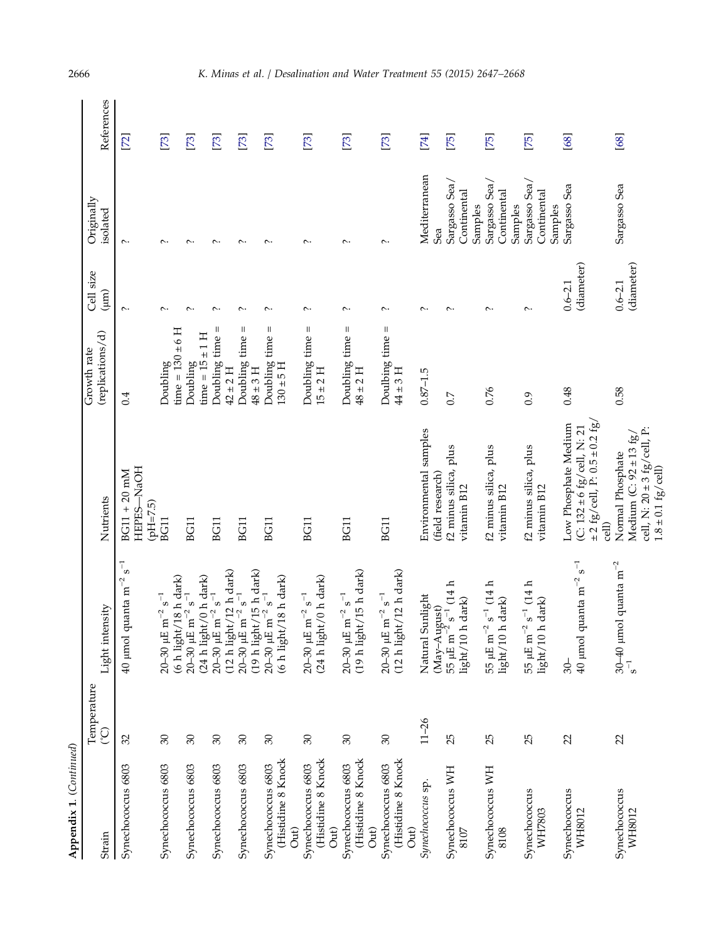| Appendix 1. (Continued)                          |                  |                                                                                           |                                                                                                             |                                         |                             |                                            |            |
|--------------------------------------------------|------------------|-------------------------------------------------------------------------------------------|-------------------------------------------------------------------------------------------------------------|-----------------------------------------|-----------------------------|--------------------------------------------|------------|
| Strain                                           | Temperature<br>C | Light intensity                                                                           | Nutrients                                                                                                   | (replications/d)<br>Growth rate         | Cell size<br>$\binom{m}{k}$ | Originally<br>isolated                     | References |
|                                                  |                  |                                                                                           |                                                                                                             |                                         |                             |                                            |            |
| Synechococcus 6803                               | 32               | $\mathbf{s}^{-1}$<br>40 µmol quanta m <sup>-2</sup>                                       | HEPES-NaOH<br>$BGI1 + 20$ mM<br>$(pH = 7.5)$                                                                | 0.4                                     | $\sim$                      | $\sim$                                     | $[72]$     |
| Synechococcus 6803                               | $\mathcal{E}$    | $m^{-2}$ s <sup>-1</sup><br>20-30 µE                                                      | BG11                                                                                                        | $time = 130 \pm 6$ H<br><b>Doubling</b> | $\sim$                      | $\sim$                                     | [73]       |
| Synechococcus 6803                               | $\mathcal{E}$    | (6 h light/18 h dark)<br>20–30 $\upmu E$ m $^{-2}$ s $^{-1}$                              | BG11                                                                                                        | $time = 15 \pm 1$ H<br>Doubling         | $\sim$                      | $\sim$                                     | [73]       |
| Synechococcus 6803                               | $\mathcal{E}$    | (24 h light/0 h dark)<br>20–30 $\upmu E\ m^{-2}\ s^{-1}$                                  | BG11                                                                                                        | Ш<br>Doubling time<br>$42 \pm 2$ H      | $\sim$                      | $\sim$                                     | [73]       |
| Synechococcus 6803                               | $\mathcal{E}$    | $(19 h$ light/15 h dark)<br>(12 h light/12 h dark)<br>20–30 $\upmu E$ m $^{-2}$ s $^{-1}$ | BG11                                                                                                        | Ш<br>Doubling time<br>$48 \pm 3$ H      | $\sim$                      | $\sim$                                     | [73]       |
| (Histidine 8 Knock<br>Synechococcus 6803<br>Out) | $\mathcal{E}$    | $(6 h$ light/18 h dark)<br>$m^{-2} s^{-1}$<br>20-30 µE                                    | BG11                                                                                                        | Ш<br>Doubling time<br>$130 + 5$ H       | $\sim$                      | $\sim$                                     | [73]       |
| (Histidine 8 Knock<br>Synechococcus 6803<br>Out) | $\mathcal{E}$    | $(24 h$ light/0 h dark)<br>$m^{-2}$ s $^{-1}$<br>20-30 µE                                 | BG11                                                                                                        | Doubling time $=$<br>$15 \pm 2$ H       | $\sim$                      | $\sim$                                     | [73]       |
| (Histidine 8 Knock<br>Synechococcus 6803<br>Out) | $\mathcal{E}$    | $(19 h$ light/15 h dark)<br>$m^{-2}$ s <sup>-1</sup><br>20-30 µE                          | BG11                                                                                                        | Ш<br>Doubling time<br>$48 \pm 2$ H      | $\sim$                      | $\sim$                                     | [73]       |
| (Histidine 8 Knock<br>Synechococcus 6803<br>Out) | $\mathcal{E}$    | $(12 h$ light/12 h dark)<br>$\mathrm{m}^{-2}$ s $^{-1}$<br>20-30 µE                       | BG11                                                                                                        | Doulbing time =<br>$44 + 3 H$           | $\sim$                      | $\sim$                                     | [73]       |
| Synechococcus sp.                                | $11 - 26$        | Natural Sunlight                                                                          | Environmental samples<br>(field research)                                                                   | $0.87 - 1.5$                            | $\sim$                      | Mediterranean<br>Sea                       | [74]       |
| Synechococcus WH<br>8107                         | 25               | (May-August)<br>55 $\mu$ E m <sup>-2</sup> s <sup>-1</sup> (14 h<br>light/10 h dark)      | f2 minus silica, plus<br>vitamin B12                                                                        | $\overline{0}$ .                        | $\sim$                      | Sargasso Sea<br>Continental<br>Samples     | [75]       |
| Synechococcus WH<br>8108                         | 25               | 55 $\upmu$ E $\upmu^{-2}$ s $^{-1}$ (14 h $\upmu$ kjht/10 h $\upmu$ dark)                 | f2 minus silica, plus<br>vitamin B12                                                                        | 0.76                                    | $\sim$                      | Sea/<br>Continental<br>Sargasso<br>Samples | [75]       |
| Synechococcus<br>WH7803                          | 25               | 55 µE m <sup>-2</sup> s <sup>-1</sup> (14 h<br>light/10 h dark)                           | f2 minus silica, plus<br>vitamin B12                                                                        | 0.9                                     | $\sim$                      | Sea/<br>Continental<br>Sargasso<br>Samples | [75]       |
| Synechococcus<br><b>WH8012</b>                   | 22               | $\mathbf{s}^{-1}$<br>$40$ µmol quanta m $^{\rm -2}$<br>$-30-$                             | (C: 132 ± 6 fg/cell, N: 21<br>± 2 fg/cell, P: 0.5 ± 0.2 fg,<br>Low Phosphate Medium<br>cell)                | 0.48                                    | (diameter)<br>$0.6 - 2.1$   | Sargasso Sea                               | [68]       |
| Synechococcus<br><b>WH8012</b>                   | $\mathfrak{L}$   | $\underset{\mathbf{s}^{-1}}{30\text{--}40}$ µmol quanta m <sup>-2</sup>                   | cell, N: $20 \pm 3$ fg/cell, P:<br>1.8 $\pm$ 0.1 fg/cell)<br>Medium (C: $92 \pm 13$ fg/<br>Normal Phosphate | 0.58                                    | (diameter)<br>$0.6 - 2.1$   | Sargasso Sea                               | [68]       |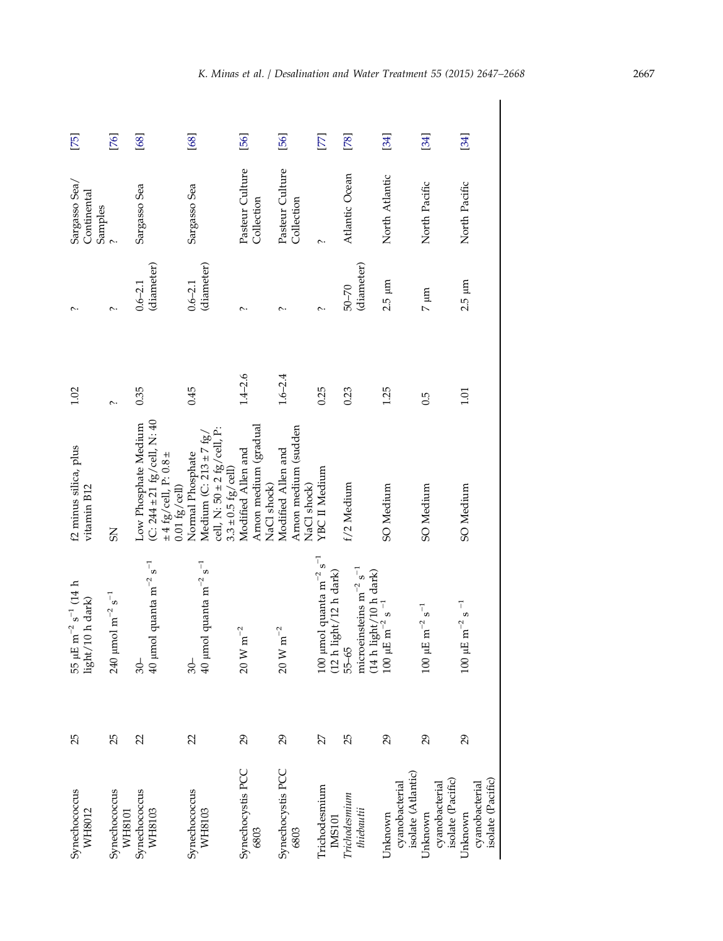| Synechococcus<br>WH8012                                              | 25 | 55 µE m <sup>-2</sup> s <sup>-1</sup> (14 h<br>light/10 h dark)                                                                                                                                          | f2 minus silica, plus<br>vitamin B12                                                                                      | 1.02        | $\sim$                    | Sargasso Sea<br>Continental<br>Samples | [75]   |
|----------------------------------------------------------------------|----|----------------------------------------------------------------------------------------------------------------------------------------------------------------------------------------------------------|---------------------------------------------------------------------------------------------------------------------------|-------------|---------------------------|----------------------------------------|--------|
| Synechococcus<br>WH8101                                              | 25 | $\mu$ mol m <sup>-2</sup> s <sup>-1</sup><br>240                                                                                                                                                         | <b>SN</b>                                                                                                                 | $\sim$      | $\sim$                    |                                        | [76]   |
| Synechococcus<br>WH8103                                              | 22 | 40 µmol quanta m <sup>-2</sup> s <sup>-1</sup><br>$-30-$                                                                                                                                                 | (C: $244 \pm 21$ fg/cell, N: 40<br>Low Phosphate Medium<br>$\pm 4$ fg/cell, P: 0.8 $\pm$<br>$0.01 \text{ fg}/\text{cell}$ | 0.35        | (diameter)<br>$0.6 - 2.1$ | Sargasso Sea                           | [68]   |
| Synechococcus<br>WH8103                                              | 22 | 40 µmol quanta m <sup>-2</sup> s <sup>-1</sup><br>$-30-$                                                                                                                                                 | cell, N: $50 \pm 2$ fg/cell, P:<br>Medium (C: 213 $\pm$ 7 fg,<br>Normal Phosphate<br>$3.3 \pm 0.5$ fg/cell)               | 0.45        | (diameter)<br>$0.6 - 2.1$ | Sargasso Sea                           | [68]   |
| Synechocystis PCC<br>6803                                            | 29 | $20$ W $\mathrm{m}^{-2}$                                                                                                                                                                                 | Arnon medium (gradual<br>Modified Allen and<br>NaCl shock)                                                                | $1.4 - 2.6$ | $\sim$                    | Pasteur Culture<br>Collection          | [56]   |
| Synechocystis PCC<br>6803                                            | 29 | $20$ W $\mathrm{m}^{-2}$                                                                                                                                                                                 | Arnon medium (sudden<br>Modified Allen and<br>NaCl shock)                                                                 | $1.6 - 2.4$ | $\sim$                    | Pasteur Culture<br>Collection          | [56]   |
|                                                                      | 27 | $\mu$ mol quanta m $^{-2}$ s $^{-1}$                                                                                                                                                                     | YBC II Medium                                                                                                             | 0.25        | $\sim$                    | $\sim$                                 | $[77]$ |
| Trichodesmium<br>IMS101<br><i>Trichodesmium</i><br><i>thiebautii</i> | 25 | 100 µmol quanta m <sup>-2</sup> s <sup>-1</sup><br>(12 h light/12 h dark)<br>55–65<br>microeinsteins m <sup>-2</sup> s <sup>-1</sup><br>(14 h light/10 h dark)<br>100 µE m <sup>-2</sup> s <sup>-1</sup> | f/2 Medium                                                                                                                | 0.23        | (diameter)<br>$50 - 70$   | Atlantic Ocean                         | [78]   |
| cyanobacterial<br>isolate (Atlantic)<br>Unknown                      | 29 |                                                                                                                                                                                                          | SO Medium                                                                                                                 | 1.25        | $2.5 \mu m$               | North Atlantic                         | [34]   |
| isolate (Pacific)<br>cyanobacterial<br>Unknown                       | 29 | $\mu E$ m <sup>-2</sup> s <sup>-1</sup><br>100                                                                                                                                                           | SO Medium                                                                                                                 | 0.5         | $7~\mu{\rm m}$            | North Pacific                          | [34]   |
| $\it cyanobacterial$ isolate $\it (Pacific)$<br>Unknown              | 29 | $\mu$ E m $^{-2}$ s $^{-1}$<br>100                                                                                                                                                                       | SO Medium                                                                                                                 | 1.01        | $2.5 \mu m$               | North Pacific                          | [34]   |